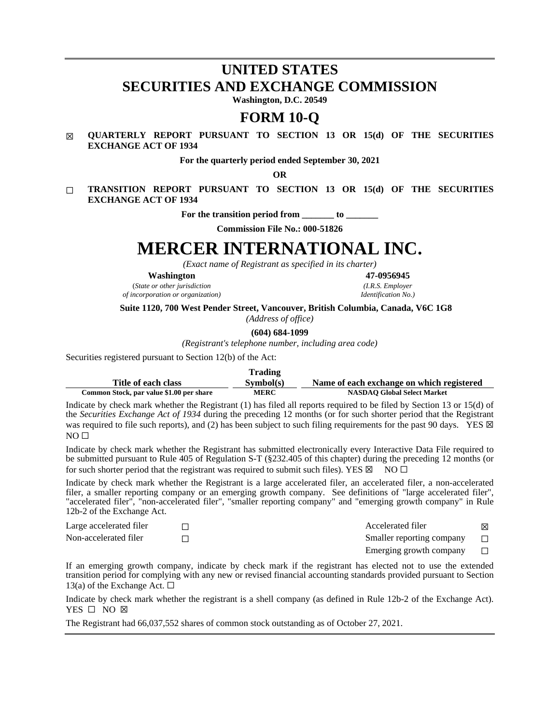# **UNITED STATES SECURITIES AND EXCHANGE COMMISSION**

**Washington, D.C. 20549**

## **FORM 10-Q**

#### ☒ **QUARTERLY REPORT PURSUANT TO SECTION 13 OR 15(d) OF THE SECURITIES EXCHANGE ACT OF 1934**

**For the quarterly period ended September 30, 2021**

**OR**

☐ **TRANSITION REPORT PURSUANT TO SECTION 13 OR 15(d) OF THE SECURITIES EXCHANGE ACT OF 1934**

For the transition period from to

**Commission File No.: 000-51826**

# **MERCER INTERNATIONAL INC.**

*(Exact name of Registrant as specified in its charter)*

**Washington 47-0956945**

(*State or other jurisdiction (I.R.S. Employer*  $of incorporation$  *or organization*)

**Suite 1120, 700 West Pender Street, Vancouver, British Columbia, Canada, V6C 1G8**

*(Address of office)*

**(604) 684-1099**

*(Registrant's telephone number, including area code)*

Securities registered pursuant to Section 12(b) of the Act:

|                                          | <b>Trading</b> |                                           |
|------------------------------------------|----------------|-------------------------------------------|
| Title of each class                      | Sumbol(s)      | Name of each exchange on which registered |
| Common Stock, par value \$1.00 per share | <b>MERC</b>    | <b>NASDAO Global Select Market</b>        |

Indicate by check mark whether the Registrant (1) has filed all reports required to be filed by Section 13 or 15(d) of the *Securities Exchange Act of 1934* during the preceding 12 months (or for such shorter period that the Registrant was required to file such reports), and (2) has been subject to such filing requirements for the past 90 days. YES  $\boxtimes$  $NO<sub>II</sub>$ 

Indicate by check mark whether the Registrant has submitted electronically every Interactive Data File required to be submitted pursuant to Rule 405 of Regulation S-T (§232.405 of this chapter) during the preceding 12 months (or for such shorter period that the registrant was required to submit such files). YES  $\boxtimes$  NO  $\Box$ 

Indicate by check mark whether the Registrant is a large accelerated filer, an accelerated filer, a non-accelerated filer, a smaller reporting company or an emerging growth company. See definitions of "large accelerated filer", "accelerated filer", "non-accelerated filer", "smaller reporting company" and "emerging growth company" in Rule 12b-2 of the Exchange Act.

| Large accelerated filer | Accelerated filer                 | ⊠      |
|-------------------------|-----------------------------------|--------|
| Non-accelerated filer   | Smaller reporting company         | $\Box$ |
|                         | Emerging growth company $\square$ |        |

If an emerging growth company, indicate by check mark if the registrant has elected not to use the extended transition period for complying with any new or revised financial accounting standards provided pursuant to Section 13(a) of the Exchange Act.  $\Box$ 

Indicate by check mark whether the registrant is a shell company (as defined in Rule 12b-2 of the Exchange Act). YES □ NO ⊠

The Registrant had 66,037,552 shares of common stock outstanding as of October 27, 2021.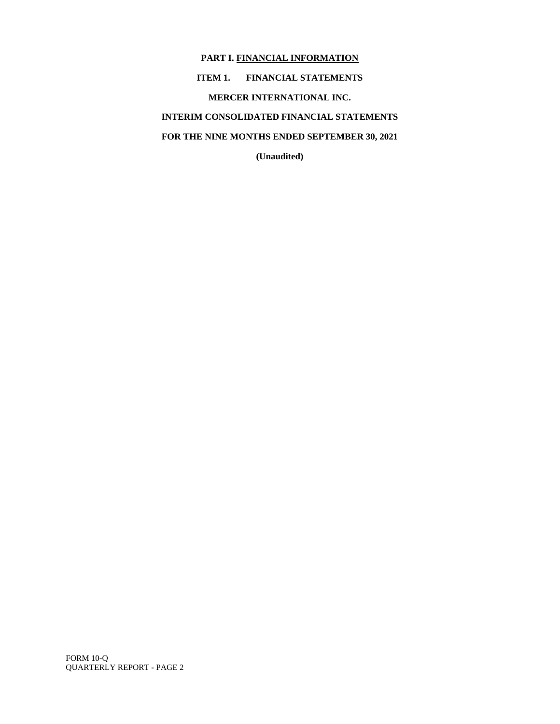**PART I. FINANCIAL INFORMATION ITEM 1. FINANCIAL STATEMENTS MERCER INTERNATIONAL INC. INTERIM CONSOLIDATED FINANCIAL STATEMENTS FOR THE NINE MONTHS ENDED SEPTEMBER 30, 2021**

**(Unaudited)**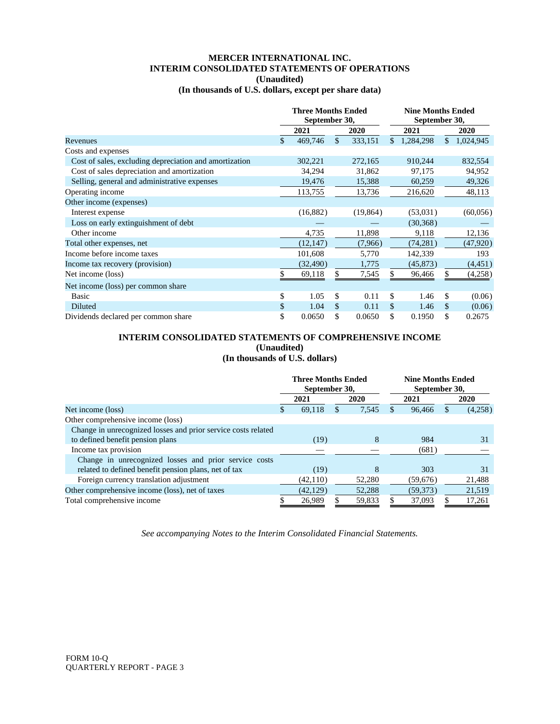#### **MERCER INTERNATIONAL INC. INTERIM CONSOLIDATED STATEMENTS OF OPERATIONS (Unaudited)**

#### **(In thousands of U.S. dollars, except per share data)**

|                                                        | <b>Three Months Ended</b><br>September 30, |               |           |    | <b>Nine Months Ended</b><br>September 30, |    |           |  |
|--------------------------------------------------------|--------------------------------------------|---------------|-----------|----|-------------------------------------------|----|-----------|--|
|                                                        | 2021                                       |               | 2020      |    | 2021                                      |    | 2020      |  |
| Revenues                                               | \$<br>469,746                              | $\mathcal{S}$ | 333,151   | \$ | 1,284,298                                 | \$ | 1,024,945 |  |
| Costs and expenses                                     |                                            |               |           |    |                                           |    |           |  |
| Cost of sales, excluding depreciation and amortization | 302,221                                    |               | 272,165   |    | 910,244                                   |    | 832,554   |  |
| Cost of sales depreciation and amortization            | 34,294                                     |               | 31,862    |    | 97,175                                    |    | 94,952    |  |
| Selling, general and administrative expenses           | 19,476                                     |               | 15,388    |    | 60,259                                    |    | 49,326    |  |
| Operating income                                       | 113,755                                    |               | 13,736    |    | 216,620                                   |    | 48,113    |  |
| Other income (expenses)                                |                                            |               |           |    |                                           |    |           |  |
| Interest expense                                       | (16,882)                                   |               | (19, 864) |    | (53,031)                                  |    | (60,056)  |  |
| Loss on early extinguishment of debt                   |                                            |               |           |    | (30, 368)                                 |    |           |  |
| Other income                                           | 4,735                                      |               | 11,898    |    | 9,118                                     |    | 12,136    |  |
| Total other expenses, net                              | (12, 147)                                  |               | (7,966)   |    | (74, 281)                                 |    | (47, 920) |  |
| Income before income taxes                             | 101,608                                    |               | 5,770     |    | 142,339                                   |    | 193       |  |
| Income tax recovery (provision)                        | (32, 490)                                  |               | 1,775     |    | (45, 873)                                 |    | (4, 451)  |  |
| Net income (loss)                                      | \$<br>69,118                               | \$.           | 7,545     |    | 96,466                                    | S  | (4,258)   |  |
| Net income (loss) per common share                     |                                            |               |           |    |                                           |    |           |  |
| Basic                                                  | \$<br>1.05                                 | \$.           | 0.11      | \$ | 1.46                                      | \$ | (0.06)    |  |
| Diluted                                                | \$<br>1.04                                 | <sup>\$</sup> | 0.11      | \$ | 1.46                                      | \$ | (0.06)    |  |
| Dividends declared per common share                    | \$<br>0.0650                               | \$            | 0.0650    | \$ | 0.1950                                    | \$ | 0.2675    |  |

#### **INTERIM CONSOLIDATED STATEMENTS OF COMPREHENSIVE INCOME (Unaudited) (In thousands of U.S. dollars)**

|                                                               | <b>Three Months Ended</b><br>September 30, |           |          |        |   | <b>Nine Months Ended</b><br>September 30, |  |         |  |  |
|---------------------------------------------------------------|--------------------------------------------|-----------|----------|--------|---|-------------------------------------------|--|---------|--|--|
|                                                               |                                            | 2021      |          | 2020   |   | 2021                                      |  | 2020    |  |  |
| Net income (loss)                                             | \$.                                        | 69,118    | <b>S</b> | 7,545  | S | 96.466                                    |  | (4,258) |  |  |
| Other comprehensive income (loss)                             |                                            |           |          |        |   |                                           |  |         |  |  |
| Change in unrecognized losses and prior service costs related |                                            |           |          |        |   |                                           |  |         |  |  |
| to defined benefit pension plans                              |                                            | (19)      |          | 8      |   | 984                                       |  | 31      |  |  |
| Income tax provision                                          |                                            |           |          |        |   | (681)                                     |  |         |  |  |
| Change in unrecognized losses and prior service costs         |                                            |           |          |        |   |                                           |  |         |  |  |
| related to defined benefit pension plans, net of tax          |                                            | (19)      |          | 8      |   | 303                                       |  | 31      |  |  |
| Foreign currency translation adjustment                       |                                            | (42, 110) |          | 52,280 |   | (59,676)                                  |  | 21,488  |  |  |
| Other comprehensive income (loss), net of taxes               |                                            | (42, 129) |          | 52,288 |   | (59, 373)                                 |  | 21,519  |  |  |
| Total comprehensive income                                    |                                            | 26.989    |          | 59.833 |   | 37,093                                    |  | 17,261  |  |  |

*See accompanying Notes to the Interim Consolidated Financial Statements.*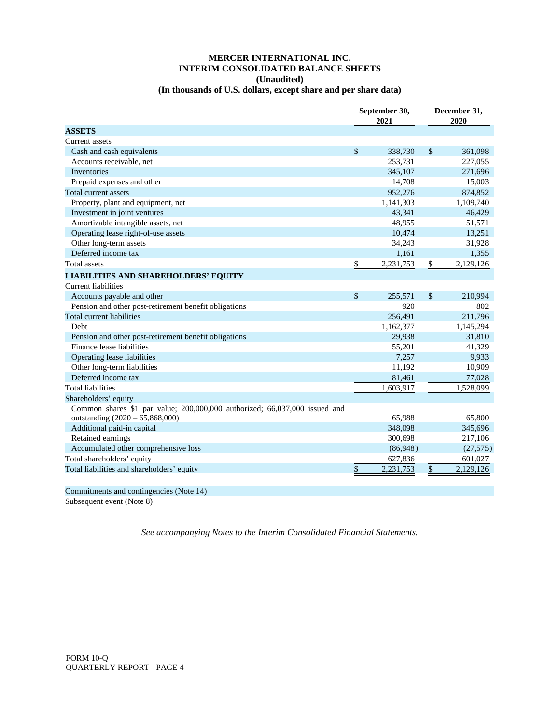### **MERCER INTERNATIONAL INC. INTERIM CONSOLIDATED BALANCE SHEETS (Unaudited)**

#### **(In thousands of U.S. dollars, except share and per share data)**

|                                                                            | September 30,<br>2021 |               | December 31,<br>2020 |
|----------------------------------------------------------------------------|-----------------------|---------------|----------------------|
| <b>ASSETS</b>                                                              |                       |               |                      |
| Current assets                                                             |                       |               |                      |
| Cash and cash equivalents                                                  | \$<br>338,730         | \$            | 361,098              |
| Accounts receivable, net                                                   | 253,731               |               | 227,055              |
| <b>Inventories</b>                                                         | 345,107               |               | 271,696              |
| Prepaid expenses and other                                                 | 14,708                |               | 15,003               |
| Total current assets                                                       | 952,276               |               | 874,852              |
| Property, plant and equipment, net                                         | 1,141,303             |               | 1,109,740            |
| Investment in joint ventures                                               | 43,341                |               | 46,429               |
| Amortizable intangible assets, net                                         | 48,955                |               | 51,571               |
| Operating lease right-of-use assets                                        | 10,474                |               | 13,251               |
| Other long-term assets                                                     | 34,243                |               | 31,928               |
| Deferred income tax                                                        | 1,161                 |               | 1,355                |
| <b>Total assets</b>                                                        | \$<br>2,231,753       | \$            | 2,129,126            |
| <b>LIABILITIES AND SHAREHOLDERS' EQUITY</b>                                |                       |               |                      |
| <b>Current liabilities</b>                                                 |                       |               |                      |
| Accounts payable and other                                                 | \$<br>255,571         | $\mathcal{S}$ | 210,994              |
| Pension and other post-retirement benefit obligations                      | 920                   |               | 802                  |
| Total current liabilities                                                  | 256,491               |               | 211,796              |
| Debt                                                                       | 1,162,377             |               | 1,145,294            |
| Pension and other post-retirement benefit obligations                      | 29,938                |               | 31,810               |
| Finance lease liabilities                                                  | 55,201                |               | 41,329               |
| Operating lease liabilities                                                | 7,257                 |               | 9,933                |
| Other long-term liabilities                                                | 11,192                |               | 10,909               |
| Deferred income tax                                                        | 81,461                |               | 77,028               |
| <b>Total liabilities</b>                                                   | 1,603,917             |               | 1,528,099            |
| Shareholders' equity                                                       |                       |               |                      |
| Common shares \$1 par value; 200,000,000 authorized; 66,037,000 issued and |                       |               |                      |
| outstanding (2020 - 65,868,000)                                            | 65,988                |               | 65,800               |
| Additional paid-in capital                                                 | 348,098               |               | 345,696              |
| Retained earnings                                                          | 300,698               |               | 217,106              |
| Accumulated other comprehensive loss                                       | (86,948)              |               | (27, 575)            |
| Total shareholders' equity                                                 | 627,836               |               | 601,027              |
| Total liabilities and shareholders' equity                                 | \$<br>2,231,753       | \$            | 2,129,126            |

Commitments and contingencies (Note 14)

Subsequent event (Note 8)

*See accompanying Notes to the Interim Consolidated Financial Statements.*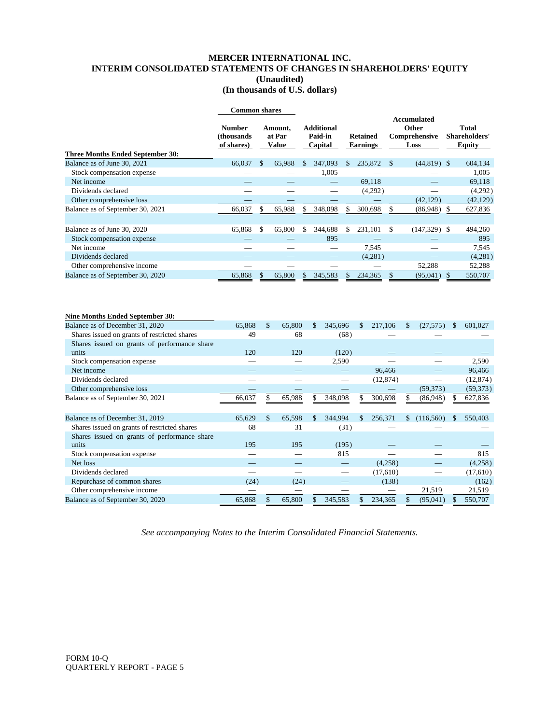#### **MERCER INTERNATIONAL INC. INTERIM CONSOLIDATED STATEMENTS OF CHANGES IN SHAREHOLDERS' EQUITY (Unaudited) (In thousands of U.S. dollars)**

|                                                                        | <b>Common shares</b>                      |               |                                   |               |                                         |         |       |                                    |               |               |                                                      |     |                                                |
|------------------------------------------------------------------------|-------------------------------------------|---------------|-----------------------------------|---------------|-----------------------------------------|---------|-------|------------------------------------|---------------|---------------|------------------------------------------------------|-----|------------------------------------------------|
|                                                                        | <b>Number</b><br>(thousands<br>of shares) |               | Amount,<br>at Par<br><b>Value</b> |               | <b>Additional</b><br>Paid-in<br>Capital |         |       | <b>Retained</b><br><b>Earnings</b> |               |               | <b>Accumulated</b><br>Other<br>Comprehensive<br>Loss |     | <b>Total</b><br>Shareholders'<br><b>Equity</b> |
| <b>Three Months Ended September 30:</b><br>Balance as of June 30, 2021 | 66,037                                    | <sup>\$</sup> | 65,988                            | <sup>\$</sup> | 347,093                                 |         | \$.   | 235,872                            | $\mathcal{S}$ |               | $(44,819)$ \$                                        |     | 604,134                                        |
| Stock compensation expense                                             |                                           |               |                                   |               |                                         | 1,005   |       |                                    |               |               |                                                      |     | 1,005                                          |
| Net income                                                             |                                           |               |                                   |               |                                         |         |       | 69.118                             |               |               |                                                      |     | 69,118                                         |
| Dividends declared                                                     |                                           |               |                                   |               |                                         |         |       |                                    |               |               |                                                      |     |                                                |
| Other comprehensive loss                                               |                                           |               |                                   |               |                                         |         |       | (4,292)                            |               |               | (42, 129)                                            |     | (4,292)<br>(42, 129)                           |
| Balance as of September 30, 2021                                       | 66,037                                    | \$            | 65,988                            | S             | 348,098                                 |         | \$    | 300,698                            | \$            |               | $(86,948)$ \$                                        |     | 627,836                                        |
|                                                                        |                                           |               |                                   |               |                                         |         |       |                                    |               |               |                                                      |     |                                                |
| Balance as of June 30, 2020                                            | 65,868                                    | \$            | 65,800                            | \$.           | 344,688                                 |         | \$    | 231,101                            | \$            |               | $(147,329)$ \$                                       |     | 494,260                                        |
| Stock compensation expense                                             |                                           |               |                                   |               |                                         | 895     |       |                                    |               |               |                                                      |     | 895                                            |
| Net income                                                             |                                           |               |                                   |               |                                         |         |       | 7,545                              |               |               |                                                      |     | 7,545                                          |
| Dividends declared                                                     |                                           |               |                                   |               |                                         |         |       | (4,281)                            |               |               |                                                      |     | (4,281)                                        |
| Other comprehensive income                                             |                                           |               |                                   |               |                                         |         |       |                                    |               |               | 52,288                                               |     | 52,288                                         |
| Balance as of September 30, 2020                                       | 65,868                                    | \$            | 65,800                            | \$            | 345,583                                 |         | \$    | 234,365                            | \$            |               | (95,041)                                             | \$  | 550,707                                        |
| <b>Nine Months Ended September 30:</b>                                 |                                           |               |                                   |               |                                         |         |       |                                    |               |               |                                                      |     |                                                |
| Balance as of December 31, 2020                                        | 65,868                                    |               | \$<br>65,800                      |               | \$                                      | 345,696 |       | 217,106<br>\$                      |               | $\mathbf{\$}$ | (27,575)                                             | \$. | 601,027                                        |
| Shares issued on grants of restricted shares                           | 49                                        |               |                                   | 68            |                                         |         | (68)  |                                    |               |               |                                                      |     |                                                |
| Shares issued on grants of performance share                           |                                           |               |                                   |               |                                         |         |       |                                    |               |               |                                                      |     |                                                |
| units                                                                  | 120                                       |               | 120                               |               |                                         |         | (120) |                                    |               |               |                                                      |     |                                                |
| Stock compensation expense                                             |                                           |               |                                   |               |                                         | 2,590   |       |                                    |               |               |                                                      |     | 2,590                                          |
| Net income                                                             |                                           |               |                                   |               |                                         |         |       |                                    | 96,466        |               |                                                      |     | 96,466                                         |
| Dividends declared                                                     |                                           |               |                                   |               |                                         |         |       |                                    | (12, 874)     |               | $\overline{\phantom{0}}$                             |     | (12, 874)                                      |
| Other comprehensive loss                                               |                                           |               |                                   |               |                                         |         |       |                                    |               |               | (59, 373)                                            |     | (59, 373)                                      |
| Balance as of September 30, 2021                                       | 66.037                                    | \$            | 65.988                            |               | \$                                      | 348,098 |       | 300.698<br>\$                      |               | \$            | (86,948)                                             | \$  | 627,836                                        |

| Balance as of December 31, 2019              | 65,629 | 65.598 | 344,994 | S. | 256,371  | S. | (116,560) | 550,403  |
|----------------------------------------------|--------|--------|---------|----|----------|----|-----------|----------|
| Shares issued on grants of restricted shares | 68     | 31     | (31)    |    |          |    |           |          |
| Shares issued on grants of performance share |        |        |         |    |          |    |           |          |
| units                                        | 195    | 195    | (195)   |    |          |    |           |          |
| Stock compensation expense                   |        |        | 815     |    |          |    |           | 815      |
| Net loss                                     |        |        |         |    | (4,258)  |    |           | (4,258)  |
| Dividends declared                           |        |        |         |    | (17,610) |    |           | (17,610) |
| Repurchase of common shares                  | (24)   | (24)   |         |    | (138)    |    |           | (162)    |
| Other comprehensive income                   |        |        |         |    |          |    | 21,519    | 21,519   |
| Balance as of September 30, 2020             | 65,868 | 65,800 | 345,583 |    | 234,365  |    | (95,041)  | 550,707  |
|                                              |        |        |         |    |          |    |           |          |

*See accompanying Notes to the Interim Consolidated Financial Statements.*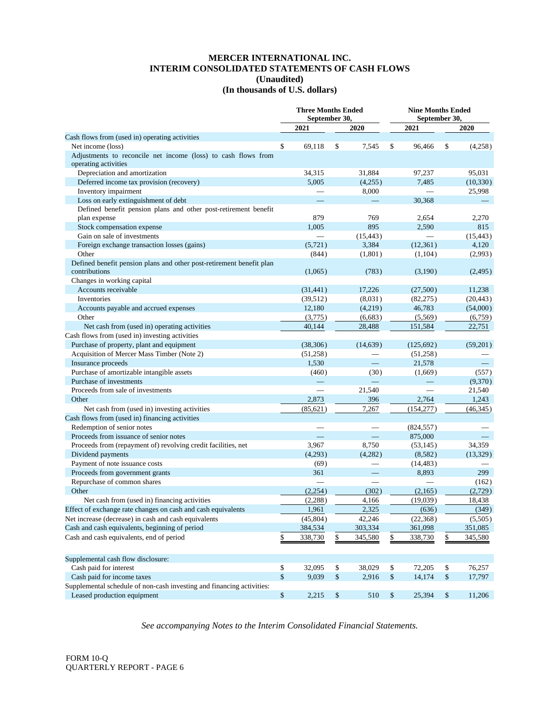#### **MERCER INTERNATIONAL INC. INTERIM CONSOLIDATED STATEMENTS OF CASH FLOWS (Unaudited) (In thousands of U.S. dollars)**

|                                                                       |        |                          | <b>Three Months Ended</b><br>September 30, |             |        | <b>Nine Months Ended</b><br>September 30, |        |           |  |
|-----------------------------------------------------------------------|--------|--------------------------|--------------------------------------------|-------------|--------|-------------------------------------------|--------|-----------|--|
|                                                                       |        | 2021                     |                                            | <b>2020</b> |        | 2021                                      |        | 2020      |  |
| Cash flows from (used in) operating activities                        |        |                          |                                            |             |        |                                           |        |           |  |
| Net income (loss)                                                     | \$     | 69,118                   | \$                                         | 7,545       | \$     | 96,466                                    | \$     | (4,258)   |  |
| Adjustments to reconcile net income (loss) to cash flows from         |        |                          |                                            |             |        |                                           |        |           |  |
| operating activities                                                  |        |                          |                                            |             |        |                                           |        |           |  |
| Depreciation and amortization                                         |        | 34,315                   |                                            | 31,884      |        | 97,237                                    |        | 95,031    |  |
| Deferred income tax provision (recovery)                              |        | 5,005                    |                                            | (4,255)     |        | 7,485                                     |        | (10, 330) |  |
| Inventory impairment                                                  |        |                          |                                            | 8,000       |        |                                           |        | 25,998    |  |
| Loss on early extinguishment of debt                                  |        |                          |                                            |             |        | 30,368                                    |        |           |  |
| Defined benefit pension plans and other post-retirement benefit       |        |                          |                                            |             |        |                                           |        |           |  |
| plan expense                                                          |        | 879                      |                                            | 769         |        | 2,654                                     |        | 2,270     |  |
| Stock compensation expense                                            |        | 1,005                    |                                            | 895         |        | 2,590                                     |        | 815       |  |
| Gain on sale of investments                                           |        | $\overline{\phantom{0}}$ |                                            | (15, 443)   |        |                                           |        | (15, 443) |  |
| Foreign exchange transaction losses (gains)                           |        | (5, 721)                 |                                            | 3,384       |        | (12, 361)                                 |        | 4,120     |  |
| Other                                                                 |        | (844)                    |                                            | (1,801)     |        | (1,104)                                   |        | (2,993)   |  |
| Defined benefit pension plans and other post-retirement benefit plan  |        |                          |                                            |             |        |                                           |        |           |  |
| contributions                                                         |        | (1,065)                  |                                            | (783)       |        | (3,190)                                   |        | (2, 495)  |  |
| Changes in working capital                                            |        |                          |                                            |             |        |                                           |        |           |  |
| Accounts receivable                                                   |        | (31, 441)                |                                            | 17.226      |        | (27,500)                                  |        | 11,238    |  |
| Inventories                                                           |        | (39, 512)                |                                            | (8,031)     |        | (82, 275)                                 |        | (20, 443) |  |
| Accounts payable and accrued expenses                                 |        | 12,180                   |                                            | (4,219)     |        | 46,783                                    |        | (54,000)  |  |
| Other                                                                 |        | (3,775)                  |                                            | (6,683)     |        | (5,569)                                   |        | (6,759)   |  |
| Net cash from (used in) operating activities                          |        | 40,144                   |                                            | 28,488      |        | 151,584                                   |        | 22,751    |  |
| Cash flows from (used in) investing activities                        |        |                          |                                            |             |        |                                           |        |           |  |
| Purchase of property, plant and equipment                             |        | (38, 306)                |                                            | (14, 639)   |        | (125, 692)                                |        | (59,201)  |  |
| Acquisition of Mercer Mass Timber (Note 2)                            |        | (51, 258)                |                                            |             |        | (51,258)                                  |        |           |  |
| Insurance proceeds                                                    |        | 1,530                    |                                            |             |        | 21,578                                    |        |           |  |
| Purchase of amortizable intangible assets                             |        | (460)                    |                                            | (30)        |        | (1,669)                                   |        | (557)     |  |
| Purchase of investments                                               |        |                          |                                            |             |        |                                           |        | (9,370)   |  |
| Proceeds from sale of investments                                     |        |                          |                                            | 21,540      |        |                                           |        | 21,540    |  |
| Other                                                                 |        | 2,873                    |                                            | 396         |        | 2,764                                     |        | 1,243     |  |
| Net cash from (used in) investing activities                          |        | (85, 621)                |                                            | 7,267       |        | (154, 277)                                |        | (46, 345) |  |
| Cash flows from (used in) financing activities                        |        |                          |                                            |             |        |                                           |        |           |  |
| Redemption of senior notes                                            |        |                          |                                            |             |        | (824, 557)                                |        |           |  |
| Proceeds from issuance of senior notes                                |        |                          |                                            |             |        | 875,000                                   |        |           |  |
| Proceeds from (repayment of) revolving credit facilities, net         |        | 3,967                    |                                            | 8,750       |        | (53, 145)                                 |        | 34,359    |  |
| Dividend payments                                                     |        | (4,293)                  |                                            | (4,282)     |        | (8,582)                                   |        | (13,329)  |  |
| Payment of note issuance costs                                        |        | (69)                     |                                            |             |        | (14, 483)                                 |        |           |  |
| Proceeds from government grants                                       |        | 361                      |                                            |             |        | 8,893                                     |        | 299       |  |
| Repurchase of common shares                                           |        |                          |                                            |             |        |                                           |        | (162)     |  |
| Other                                                                 |        | (2,254)                  |                                            | (302)       |        | (2,165)                                   |        | (2,729)   |  |
| Net cash from (used in) financing activities                          |        | (2, 288)                 |                                            | 4,166       |        | (19,039)                                  |        | 18,438    |  |
| Effect of exchange rate changes on cash and cash equivalents          |        | 1,961                    |                                            | 2,325       |        | (636)                                     |        | (349)     |  |
| Net increase (decrease) in cash and cash equivalents                  |        | (45, 804)                |                                            | 42,246      |        | (22, 368)                                 |        | (5,505)   |  |
| Cash and cash equivalents, beginning of period                        |        | 384,534                  |                                            | 303,334     |        | 361,098                                   |        | 351,085   |  |
| Cash and cash equivalents, end of period                              | \$     | 338,730                  | \$                                         | 345,580     | \$     | 338,730                                   | \$     | 345,580   |  |
| Supplemental cash flow disclosure:                                    |        |                          |                                            |             |        |                                           |        |           |  |
| Cash paid for interest                                                | \$     | 32,095                   | \$                                         | 38,029      | \$     | 72,205                                    | \$     | 76,257    |  |
| Cash paid for income taxes                                            | \$     | 9,039                    | \$                                         | 2,916       | \$     | 14,174                                    | \$     | 17,797    |  |
| Supplemental schedule of non-cash investing and financing activities: |        |                          |                                            |             |        |                                           |        |           |  |
| Leased production equipment                                           | $\$\,$ | 2,215                    | $\$\,$                                     | 510         | $\$\,$ | 25,394                                    | $\$\,$ | 11,206    |  |

*See accompanying Notes to the Interim Consolidated Financial Statements.*

FORM 10-Q QUARTERLY REPORT - PAGE 6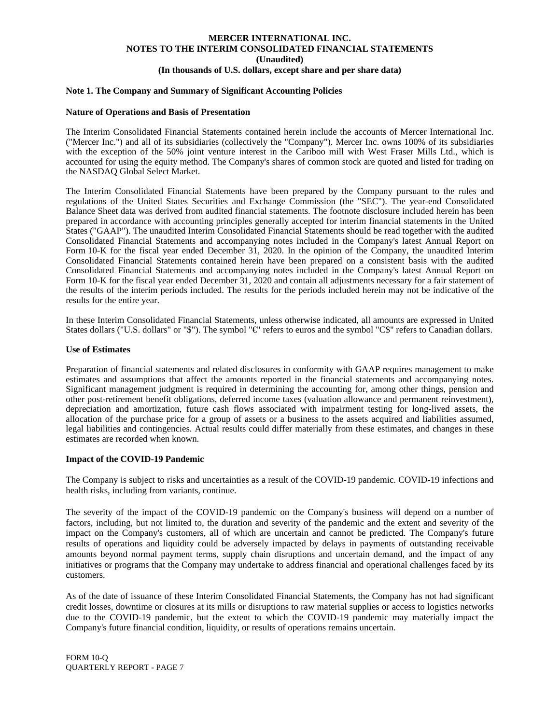#### **Note 1. The Company and Summary of Significant Accounting Policies**

#### **Nature of Operations and Basis of Presentation**

The Interim Consolidated Financial Statements contained herein include the accounts of Mercer International Inc. ("Mercer Inc.") and all of its subsidiaries (collectively the "Company"). Mercer Inc. owns 100% of its subsidiaries with the exception of the 50% joint venture interest in the Cariboo mill with West Fraser Mills Ltd., which is accounted for using the equity method. The Company's shares of common stock are quoted and listed for trading on the NASDAQ Global Select Market.

The Interim Consolidated Financial Statements have been prepared by the Company pursuant to the rules and regulations of the United States Securities and Exchange Commission (the "SEC"). The year-end Consolidated Balance Sheet data was derived from audited financial statements. The footnote disclosure included herein has been prepared in accordance with accounting principles generally accepted for interim financial statements in the United States ("GAAP"). The unaudited Interim Consolidated Financial Statements should be read together with the audited Consolidated Financial Statements and accompanying notes included in the Company's latest Annual Report on Form 10-K for the fiscal year ended December 31, 2020. In the opinion of the Company, the unaudited Interim Consolidated Financial Statements contained herein have been prepared on a consistent basis with the audited Consolidated Financial Statements and accompanying notes included in the Company's latest Annual Report on Form 10-K for the fiscal year ended December 31, 2020 and contain all adjustments necessary for a fair statement of the results of the interim periods included. The results for the periods included herein may not be indicative of the results for the entire year.

In these Interim Consolidated Financial Statements, unless otherwise indicated, all amounts are expressed in United States dollars ("U.S. dollars" or "\$"). The symbol "€" refers to euros and the symbol "C\$" refers to Canadian dollars.

#### **Use of Estimates**

Preparation of financial statements and related disclosures in conformity with GAAP requires management to make estimates and assumptions that affect the amounts reported in the financial statements and accompanying notes. Significant management judgment is required in determining the accounting for, among other things, pension and other post-retirement benefit obligations, deferred income taxes (valuation allowance and permanent reinvestment), depreciation and amortization, future cash flows associated with impairment testing for long-lived assets, the allocation of the purchase price for a group of assets or a business to the assets acquired and liabilities assumed, legal liabilities and contingencies. Actual results could differ materially from these estimates, and changes in these estimates are recorded when known.

#### **Impact of the COVID-19 Pandemic**

The Company is subject to risks and uncertainties as a result of the COVID-19 pandemic. COVID-19 infections and health risks, including from variants, continue.

The severity of the impact of the COVID-19 pandemic on the Company's business will depend on a number of factors, including, but not limited to, the duration and severity of the pandemic and the extent and severity of the impact on the Company's customers, all of which are uncertain and cannot be predicted. The Company's future results of operations and liquidity could be adversely impacted by delays in payments of outstanding receivable amounts beyond normal payment terms, supply chain disruptions and uncertain demand, and the impact of any initiatives or programs that the Company may undertake to address financial and operational challenges faced by its customers.

As of the date of issuance of these Interim Consolidated Financial Statements, the Company has not had significant credit losses, downtime or closures at its mills or disruptions to raw material supplies or access to logistics networks due to the COVID-19 pandemic, but the extent to which the COVID-19 pandemic may materially impact the Company's future financial condition, liquidity, or results of operations remains uncertain.

FORM 10-Q QUARTERLY REPORT - PAGE 7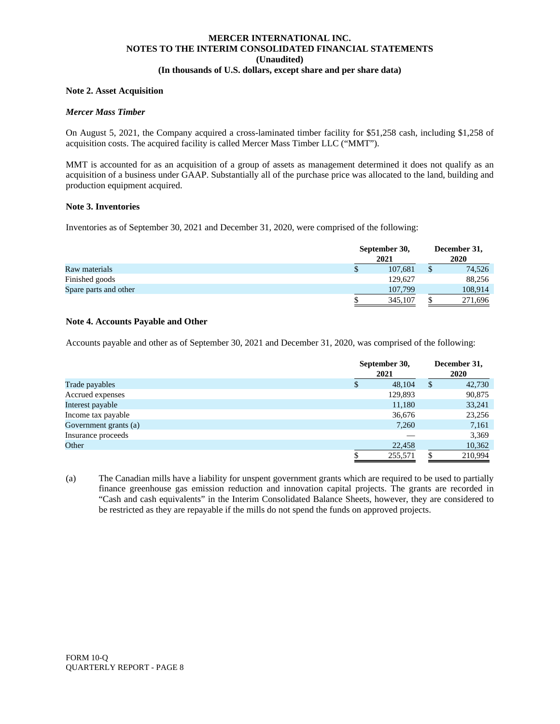#### **Note 2. Asset Acquisition**

#### *Mercer Mass Timber*

On August 5, 2021, the Company acquired a cross-laminated timber facility for \$51,258 cash, including \$1,258 of acquisition costs. The acquired facility is called Mercer Mass Timber LLC ("MMT").

MMT is accounted for as an acquisition of a group of assets as management determined it does not qualify as an acquisition of a business under GAAP. Substantially all of the purchase price was allocated to the land, building and production equipment acquired.

#### **Note 3. Inventories**

Inventories as of September 30, 2021 and December 31, 2020, were comprised of the following:

|                       |   | September 30,<br>2021 | December 31,<br>2020 |         |  |
|-----------------------|---|-----------------------|----------------------|---------|--|
| Raw materials         | ъ | 107.681               |                      | 74,526  |  |
| Finished goods        |   | 129.627               |                      | 88,256  |  |
| Spare parts and other |   | 107.799               |                      | 108,914 |  |
|                       |   | 345,107               |                      | 271,696 |  |

#### **Note 4. Accounts Payable and Other**

Accounts payable and other as of September 30, 2021 and December 31, 2020, was comprised of the following:

|                       |   | September 30,<br>2021 |   |         |  |  |
|-----------------------|---|-----------------------|---|---------|--|--|
| Trade payables        | S | 48.104                | S | 42,730  |  |  |
| Accrued expenses      |   | 129,893               |   | 90,875  |  |  |
| Interest payable      |   | 11,180                |   | 33,241  |  |  |
| Income tax payable    |   | 36,676                |   | 23,256  |  |  |
| Government grants (a) |   | 7,260                 |   | 7,161   |  |  |
| Insurance proceeds    |   |                       |   | 3,369   |  |  |
| Other                 |   | 22,458                |   | 10,362  |  |  |
|                       |   | 255,571               |   | 210.994 |  |  |

(a) The Canadian mills have a liability for unspent government grants which are required to be used to partially finance greenhouse gas emission reduction and innovation capital projects. The grants are recorded in "Cash and cash equivalents" in the Interim Consolidated Balance Sheets, however, they are considered to be restricted as they are repayable if the mills do not spend the funds on approved projects.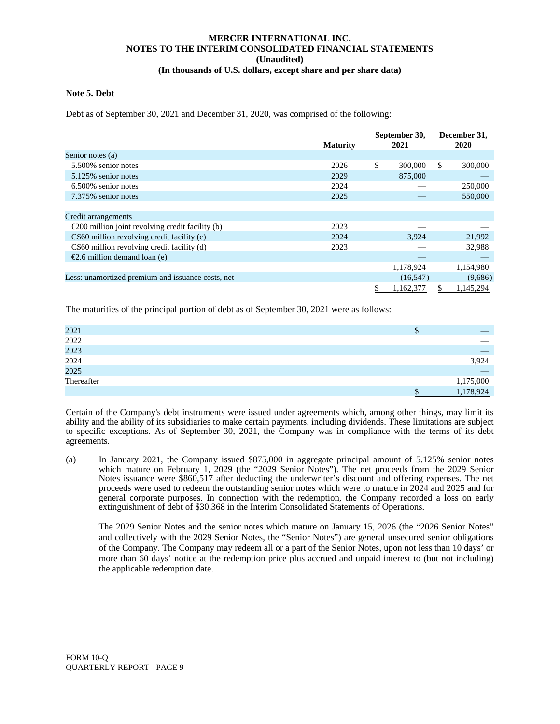#### **Note 5. Debt**

Debt as of September 30, 2021 and December 31, 2020, was comprised of the following:

|                                                            |                 | September 30, |     | December 31. |
|------------------------------------------------------------|-----------------|---------------|-----|--------------|
|                                                            | <b>Maturity</b> | 2021          |     | 2020         |
| Senior notes (a)                                           |                 |               |     |              |
| 5.500% senior notes                                        | 2026            | \$<br>300,000 | \$. | 300,000      |
| 5.125% senior notes                                        | 2029            | 875,000       |     |              |
| 6.500% senior notes                                        | 2024            |               |     | 250,000      |
| 7.375% senior notes                                        | 2025            |               |     | 550,000      |
|                                                            |                 |               |     |              |
| Credit arrangements                                        |                 |               |     |              |
| $\epsilon$ 200 million joint revolving credit facility (b) | 2023            |               |     |              |
| C\$60 million revolving credit facility (c)                | 2024            | 3,924         |     | 21,992       |
| C\$60 million revolving credit facility (d)                | 2023            |               |     | 32,988       |
| €2.6 million demand loan (e)                               |                 |               |     |              |
|                                                            |                 | 1,178,924     |     | 1,154,980    |
| Less: unamortized premium and issuance costs, net          |                 | (16, 547)     |     | (9,686)      |
|                                                            |                 | 1,162,377     |     | 1,145,294    |

The maturities of the principal portion of debt as of September 30, 2021 were as follows:

| 2021       | D |           |
|------------|---|-----------|
| 2022       |   |           |
| 2023       |   |           |
| 2024       |   | 3,924     |
| 2025       |   |           |
| Thereafter |   | 1,175,000 |
|            |   | 1,178,924 |

Certain of the Company's debt instruments were issued under agreements which, among other things, may limit its ability and the ability of its subsidiaries to make certain payments, including dividends. These limitations are subject to specific exceptions. As of September 30, 2021, the Company was in compliance with the terms of its debt agreements.

(a) In January 2021, the Company issued \$875,000 in aggregate principal amount of 5.125% senior notes which mature on February 1, 2029 (the "2029 Senior Notes"). The net proceeds from the 2029 Senior Notes issuance were \$860,517 after deducting the underwriter's discount and offering expenses. The net proceeds were used to redeem the outstanding senior notes which were to mature in 2024 and 2025 and for general corporate purposes. In connection with the redemption, the Company recorded a loss on early extinguishment of debt of \$30,368 in the Interim Consolidated Statements of Operations.

The 2029 Senior Notes and the senior notes which mature on January 15, 2026 (the "2026 Senior Notes" and collectively with the 2029 Senior Notes, the "Senior Notes") are general unsecured senior obligations of the Company. The Company may redeem all or a part of the Senior Notes, upon not less than 10 days' or more than 60 days' notice at the redemption price plus accrued and unpaid interest to (but not including) the applicable redemption date.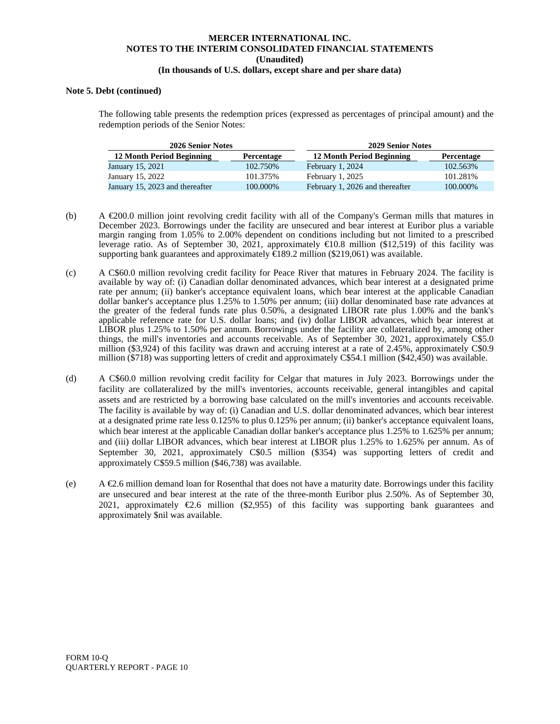#### **Note 5. Debt (continued)**

The following table presents the redemption prices (expressed as percentages of principal amount) and the redemption periods of the Senior Notes:

| 2026 Senior Notes               |            | <b>2029 Senior Notes</b>        |            |
|---------------------------------|------------|---------------------------------|------------|
| 12 Month Period Beginning       | Percentage | 12 Month Period Beginning       | Percentage |
| January 15, 2021                | 102.750\%  | February 1, 2024                | 102.563%   |
| January 15, 2022                | 101.375%   | February 1, 2025                | 101.281%   |
| January 15, 2023 and thereafter | 100.000\%  | February 1, 2026 and thereafter | 100.000%   |

- (b) A  $\epsilon$ 200.0 million joint revolving credit facility with all of the Company's German mills that matures in December 2023. Borrowings under the facility are unsecured and bear interest at Euribor plus a variable margin ranging from 1.05% to 2.00% dependent on conditions including but not limited to a prescribed leverage ratio. As of September 30, 2021, approximately €10.8 million (\$12,519) of this facility was supporting bank guarantees and approximately €189.2 million (\$219,061) was available.
- (c) A C\$60.0 million revolving credit facility for Peace River that matures in February 2024. The facility is available by way of: (i) Canadian dollar denominated advances, which bear interest at a designated prime rate per annum; (ii) banker's acceptance equivalent loans, which bear interest at the applicable Canadian dollar banker's acceptance plus 1.25% to 1.50% per annum; (iii) dollar denominated base rate advances at the greater of the federal funds rate plus 0.50%, a designated LIBOR rate plus 1.00% and the bank's applicable reference rate for U.S. dollar loans; and (iv) dollar LIBOR advances, which bear interest at LIBOR plus 1.25% to 1.50% per annum. Borrowings under the facility are collateralized by, among other things, the mill's inventories and accounts receivable. As of September 30, 2021, approximately C\$5.0 million (\$3,924) of this facility was drawn and accruing interest at a rate of 2.45%, approximately C\$0.9 million (\$718) was supporting letters of credit and approximately C\$54.1 million (\$42,450) was available.
- (d) A C\$60.0 million revolving credit facility for Celgar that matures in July 2023. Borrowings under the facility are collateralized by the mill's inventories, accounts receivable, general intangibles and capital assets and are restricted by a borrowing base calculated on the mill's inventories and accounts receivable. The facility is available by way of: (i) Canadian and U.S. dollar denominated advances, which bear interest at a designated prime rate less 0.125% to plus 0.125% per annum; (ii) banker's acceptance equivalent loans, which bear interest at the applicable Canadian dollar banker's acceptance plus 1.25% to 1.625% per annum; and (iii) dollar LIBOR advances, which bear interest at LIBOR plus 1.25% to 1.625% per annum. As of September 30, 2021, approximately C\$0.5 million (\$354) was supporting letters of credit and approximately C\$59.5 million (\$46,738) was available.
- (e) A  $\epsilon$ 2.6 million demand loan for Rosenthal that does not have a maturity date. Borrowings under this facility are unsecured and bear interest at the rate of the three-month Euribor plus 2.50%. As of September 30, 2021, approximately  $\epsilon$ 2.6 million (\$2,955) of this facility was supporting bank guarantees and approximately \$nil was available.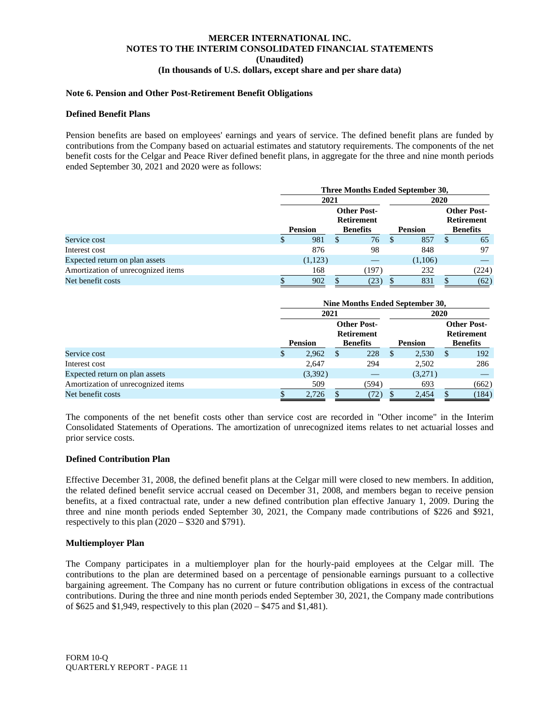#### **Note 6. Pension and Other Post-Retirement Benefit Obligations**

#### **Defined Benefit Plans**

Pension benefits are based on employees' earnings and years of service. The defined benefit plans are funded by contributions from the Company based on actuarial estimates and statutory requirements. The components of the net benefit costs for the Celgar and Peace River defined benefit plans, in aggregate for the three and nine month periods ended September 30, 2021 and 2020 were as follows:

|                                    | Three Months Ended September 30,        |   |                                   |    |         |                 |                                         |  |
|------------------------------------|-----------------------------------------|---|-----------------------------------|----|---------|-----------------|-----------------------------------------|--|
|                                    | 2021                                    |   |                                   |    | 2020    |                 |                                         |  |
|                                    | <b>Other Post-</b><br><b>Retirement</b> |   |                                   |    |         |                 | <b>Other Post-</b><br><b>Retirement</b> |  |
|                                    | <b>Pension</b>                          |   | <b>Pension</b><br><b>Benefits</b> |    |         | <b>Benefits</b> |                                         |  |
| Service cost                       | \$<br>981                               | S | 76                                | -S | 857     |                 | 65                                      |  |
| Interest cost                      | 876                                     |   | 98                                |    | 848     |                 | 97                                      |  |
| Expected return on plan assets     | (1,123)                                 |   |                                   |    | (1,106) |                 |                                         |  |
| Amortization of unrecognized items | 168                                     |   | (197)                             |    | 232     |                 | (224)                                   |  |
| Net benefit costs                  | 902                                     |   | (23)                              |    | 831     |                 | (62)                                    |  |

|                                    |    | Nine Months Ended September 30, |   |                                         |   |                |                 |                                         |  |
|------------------------------------|----|---------------------------------|---|-----------------------------------------|---|----------------|-----------------|-----------------------------------------|--|
|                                    |    | 2021                            |   |                                         |   |                | 2020            |                                         |  |
|                                    |    | <b>Pension</b>                  |   | <b>Other Post-</b><br><b>Retirement</b> |   |                |                 | <b>Other Post-</b><br><b>Retirement</b> |  |
|                                    |    |                                 |   | <b>Benefits</b>                         |   | <b>Pension</b> | <b>Benefits</b> |                                         |  |
| Service cost                       | \$ | 2,962                           | S | 228                                     | S | 2,530          | S               | 192                                     |  |
| Interest cost                      |    | 2.647                           |   | 294                                     |   | 2,502          |                 | 286                                     |  |
| Expected return on plan assets     |    | (3,392)                         |   |                                         |   | (3,271)        |                 |                                         |  |
| Amortization of unrecognized items |    | 509                             |   | (594)                                   |   | 693            |                 | (662)                                   |  |
| Net benefit costs                  |    | 2,726                           |   | (72)                                    |   | 2,454          |                 | (184)                                   |  |

The components of the net benefit costs other than service cost are recorded in "Other income" in the Interim Consolidated Statements of Operations. The amortization of unrecognized items relates to net actuarial losses and prior service costs.

#### **Defined Contribution Plan**

Effective December 31, 2008, the defined benefit plans at the Celgar mill were closed to new members. In addition, the related defined benefit service accrual ceased on December 31, 2008, and members began to receive pension benefits, at a fixed contractual rate, under a new defined contribution plan effective January 1, 2009. During the three and nine month periods ended September 30, 2021, the Company made contributions of \$226 and \$921, respectively to this plan (2020 – \$320 and \$791).

#### **Multiemployer Plan**

The Company participates in a multiemployer plan for the hourly-paid employees at the Celgar mill. The contributions to the plan are determined based on a percentage of pensionable earnings pursuant to a collective bargaining agreement. The Company has no current or future contribution obligations in excess of the contractual contributions. During the three and nine month periods ended September 30, 2021, the Company made contributions of \$625 and \$1,949, respectively to this plan (2020 – \$475 and \$1,481).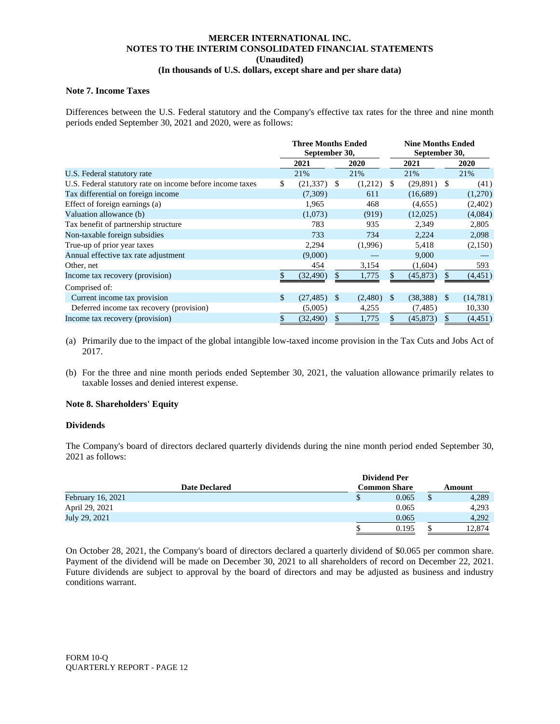#### **Note 7. Income Taxes**

Differences between the U.S. Federal statutory and the Company's effective tax rates for the three and nine month periods ended September 30, 2021 and 2020, were as follows:

|                                                           | <b>Three Months Ended</b><br>September 30, |           |    |         | <b>Nine Months Ended</b><br>September 30, |           |      |          |  |
|-----------------------------------------------------------|--------------------------------------------|-----------|----|---------|-------------------------------------------|-----------|------|----------|--|
|                                                           |                                            | 2021      |    | 2020    |                                           | 2021      |      | 2020     |  |
| U.S. Federal statutory rate                               |                                            | 21%       |    | 21%     |                                           | 21%       |      | 21%      |  |
| U.S. Federal statutory rate on income before income taxes | \$                                         | (21, 337) | -S | (1,212) | <sup>\$</sup>                             | (29,891)  | - \$ | (41)     |  |
| Tax differential on foreign income                        |                                            | (7,309)   |    | 611     |                                           | (16,689)  |      | (1,270)  |  |
| Effect of foreign earnings (a)                            |                                            | 1,965     |    | 468     |                                           | (4,655)   |      | (2,402)  |  |
| Valuation allowance (b)                                   |                                            | (1,073)   |    | (919)   |                                           | (12,025)  |      | (4,084)  |  |
| Tax benefit of partnership structure                      |                                            | 783       |    | 935     |                                           | 2,349     |      | 2,805    |  |
| Non-taxable foreign subsidies                             |                                            | 733       |    | 734     |                                           | 2,224     |      | 2,098    |  |
| True-up of prior year taxes                               |                                            | 2,294     |    | (1,996) |                                           | 5,418     |      | (2,150)  |  |
| Annual effective tax rate adjustment                      |                                            | (9,000)   |    |         |                                           | 9,000     |      |          |  |
| Other, net                                                |                                            | 454       |    | 3,154   |                                           | (1,604)   |      | 593      |  |
| Income tax recovery (provision)                           |                                            | (32, 490) |    | 1,775   |                                           | (45, 873) |      | (4, 451) |  |
| Comprised of:                                             |                                            |           |    |         |                                           |           |      |          |  |
| Current income tax provision                              | \$                                         | (27, 485) | -S | (2,480) | -S                                        | (38, 388) | -8   | (14,781) |  |
| Deferred income tax recovery (provision)                  |                                            | (5,005)   |    | 4,255   |                                           | (7, 485)  |      | 10,330   |  |
| Income tax recovery (provision)                           | \$                                         | (32, 490) |    | 1,775   |                                           | (45, 873) | S    | (4, 451) |  |

- (a) Primarily due to the impact of the global intangible low-taxed income provision in the Tax Cuts and Jobs Act of 2017.
- (b) For the three and nine month periods ended September 30, 2021, the valuation allowance primarily relates to taxable losses and denied interest expense.

#### **Note 8. Shareholders' Equity**

#### **Dividends**

The Company's board of directors declared quarterly dividends during the nine month period ended September 30, 2021 as follows:

|                          | <b>Dividend Per</b> |        |  |        |
|--------------------------|---------------------|--------|--|--------|
| <b>Date Declared</b>     | <b>Common Share</b> | Amount |  |        |
| <b>February 16, 2021</b> |                     | 0.065  |  | 4,289  |
| April 29, 2021           |                     | 0.065  |  | 4.293  |
| July 29, 2021            |                     | 0.065  |  | 4.292  |
|                          |                     | 0.195  |  | 12.874 |

On October 28, 2021, the Company's board of directors declared a quarterly dividend of \$0.065 per common share. Payment of the dividend will be made on December 30, 2021 to all shareholders of record on December 22, 2021. Future dividends are subject to approval by the board of directors and may be adjusted as business and industry conditions warrant.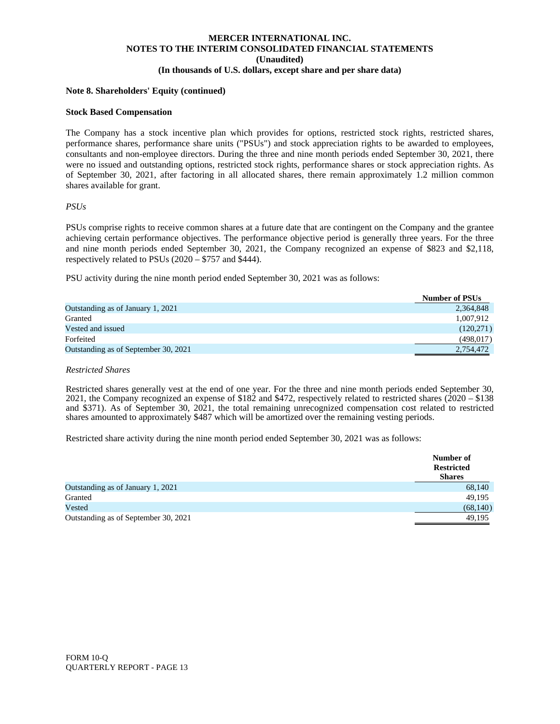#### **Note 8. Shareholders' Equity (continued)**

#### **Stock Based Compensation**

The Company has a stock incentive plan which provides for options, restricted stock rights, restricted shares, performance shares, performance share units ("PSUs") and stock appreciation rights to be awarded to employees, consultants and non-employee directors. During the three and nine month periods ended September 30, 2021, there were no issued and outstanding options, restricted stock rights, performance shares or stock appreciation rights. As of September 30, 2021, after factoring in all allocated shares, there remain approximately 1.2 million common shares available for grant.

#### *PSUs*

PSUs comprise rights to receive common shares at a future date that are contingent on the Company and the grantee achieving certain performance objectives. The performance objective period is generally three years. For the three and nine month periods ended September 30, 2021, the Company recognized an expense of \$823 and \$2,118, respectively related to PSUs (2020 – \$757 and \$444).

PSU activity during the nine month period ended September 30, 2021 was as follows:

|                                      | <b>Number of PSUs</b> |
|--------------------------------------|-----------------------|
| Outstanding as of January 1, 2021    | 2,364,848             |
| Granted                              | 1,007,912             |
| Vested and issued                    | (120,271)             |
| Forfeited                            | (498, 017)            |
| Outstanding as of September 30, 2021 | 2.754.472             |

#### *Restricted Shares*

Restricted shares generally vest at the end of one year. For the three and nine month periods ended September 30, 2021, the Company recognized an expense of  $$182$  and  $$472$ , respectively related to restricted shares ( $2020 - $138$ ) and \$371). As of September 30, 2021, the total remaining unrecognized compensation cost related to restricted shares amounted to approximately \$487 which will be amortized over the remaining vesting periods.

Restricted share activity during the nine month period ended September 30, 2021 was as follows:

|                                      | Number of<br><b>Restricted</b><br><b>Shares</b> |
|--------------------------------------|-------------------------------------------------|
| Outstanding as of January 1, 2021    | 68,140                                          |
| Granted                              | 49,195                                          |
| Vested                               | (68, 140)                                       |
| Outstanding as of September 30, 2021 | 49.195                                          |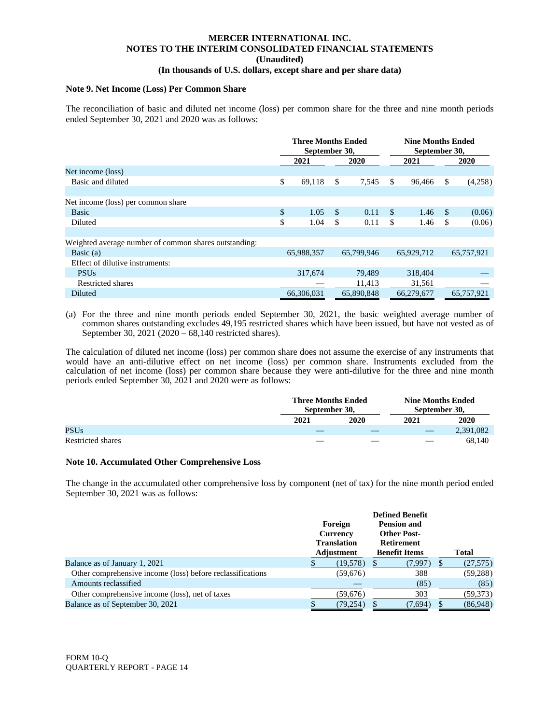#### **Note 9. Net Income (Loss) Per Common Share**

The reconciliation of basic and diluted net income (loss) per common share for the three and nine month periods ended September 30, 2021 and 2020 was as follows:

|                                                       | <b>Three Months Ended</b><br>September 30, |               |            | <b>Nine Months Ended</b><br>September 30, |            |    |            |
|-------------------------------------------------------|--------------------------------------------|---------------|------------|-------------------------------------------|------------|----|------------|
|                                                       | 2021                                       |               | 2020       |                                           | 2021       |    | 2020       |
| Net income (loss)                                     |                                            |               |            |                                           |            |    |            |
| Basic and diluted                                     | \$<br>69,118                               | <sup>\$</sup> | 7,545      | \$                                        | 96.466     | \$ | (4,258)    |
|                                                       |                                            |               |            |                                           |            |    |            |
| Net income (loss) per common share                    |                                            |               |            |                                           |            |    |            |
| <b>Basic</b>                                          | \$<br>1.05                                 | -S            | 0.11       | <sup>\$</sup>                             | 1.46       | -S | (0.06)     |
| Diluted                                               | \$<br>1.04                                 | <sup>\$</sup> | 0.11       | \$                                        | 1.46       | -S | (0.06)     |
|                                                       |                                            |               |            |                                           |            |    |            |
| Weighted average number of common shares outstanding: |                                            |               |            |                                           |            |    |            |
| Basic $(a)$                                           | 65,988,357                                 |               | 65,799,946 |                                           | 65,929,712 |    | 65,757,921 |
| Effect of dilutive instruments:                       |                                            |               |            |                                           |            |    |            |
| <b>PSUs</b>                                           | 317,674                                    |               | 79,489     |                                           | 318,404    |    |            |
| Restricted shares                                     |                                            |               | 11,413     |                                           | 31,561     |    |            |
| Diluted                                               | 66.306.031                                 |               | 65,890,848 |                                           | 66.279.677 |    | 65,757,921 |

(a) For the three and nine month periods ended September 30, 2021, the basic weighted average number of common shares outstanding excludes 49,195 restricted shares which have been issued, but have not vested as of September 30, 2021 (2020 – 68,140 restricted shares).

The calculation of diluted net income (loss) per common share does not assume the exercise of any instruments that would have an anti-dilutive effect on net income (loss) per common share. Instruments excluded from the calculation of net income (loss) per common share because they were anti-dilutive for the three and nine month periods ended September 30,  $2021$  and 2020 were as follows:

|                   | <b>Three Months Ended</b><br>September 30, |      | <b>Nine Months Ended</b><br>September 30, |           |
|-------------------|--------------------------------------------|------|-------------------------------------------|-----------|
|                   | 2021                                       | 2020 | 2021                                      | 2020      |
| <b>PSUs</b>       |                                            |      |                                           | 2,391,082 |
| Restricted shares |                                            |      |                                           | 68.140    |

#### **Note 10. Accumulated Other Comprehensive Loss**

The change in the accumulated other comprehensive loss by component (net of tax) for the nine month period ended September 30, 2021 was as follows:

|                                                            |                 |                    | <b>Defined Benefit</b> |                      |   |              |
|------------------------------------------------------------|-----------------|--------------------|------------------------|----------------------|---|--------------|
|                                                            | Foreign         |                    |                        | <b>Pension and</b>   |   |              |
|                                                            | <b>Currency</b> |                    | <b>Other Post-</b>     |                      |   |              |
|                                                            |                 | <b>Translation</b> | <b>Retirement</b>      |                      |   |              |
|                                                            |                 | Adjustment         |                        | <b>Benefit Items</b> |   | <b>Total</b> |
| Balance as of January 1, 2021                              |                 | (19,578)           | S                      | (7,997)              | Ъ | (27,575)     |
| Other comprehensive income (loss) before reclassifications |                 | (59,676)           |                        | 388                  |   | (59, 288)    |
| Amounts reclassified                                       |                 |                    |                        | (85)                 |   | (85)         |
| Other comprehensive income (loss), net of taxes            |                 | (59,676)           |                        | 303                  |   | (59, 373)    |
| Balance as of September 30, 2021                           |                 | (79,254)           |                        | (7,694)              |   | (86,948)     |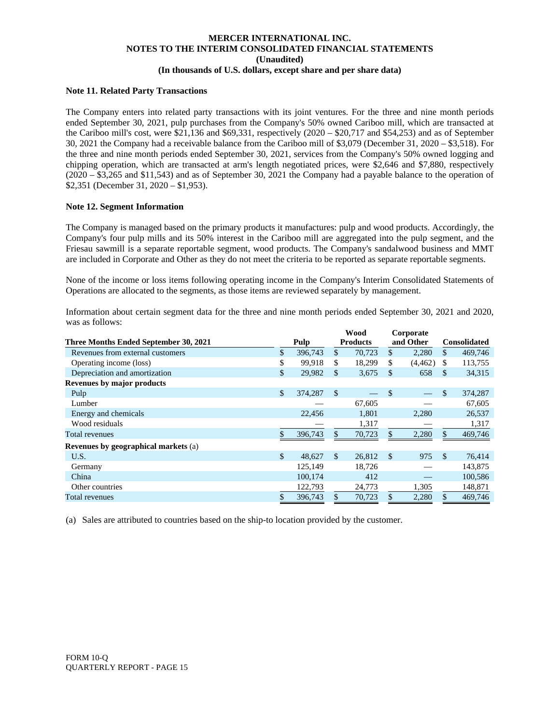#### **Note 11. Related Party Transactions**

The Company enters into related party transactions with its joint ventures. For the three and nine month periods ended September 30, 2021, pulp purchases from the Company's 50% owned Cariboo mill, which are transacted at the Cariboo mill's cost, were \$21,136 and \$69,331, respectively (2020 – \$20,717 and \$54,253) and as of September 30, 2021 the Company had a receivable balance from the Cariboo mill of \$3,079 (December 31, 2020 – \$3,518). For the three and nine month periods ended September 30, 2021, services from the Company's 50% owned logging and chipping operation, which are transacted at arm's length negotiated prices, were \$2,646 and \$7,880, respectively (2020 – \$3,265 and \$11,543) and as of September 30, 2021 the Company had a payable balance to the operation of \$2,351 (December 31, 2020 – \$1,953).

#### **Note 12. Segment Information**

The Company is managed based on the primary products it manufactures: pulp and wood products. Accordingly, the Company's four pulp mills and its 50% interest in the Cariboo mill are aggregated into the pulp segment, and the Friesau sawmill is a separate reportable segment, wood products. The Company's sandalwood business and MMT are included in Corporate and Other as they do not meet the criteria to be reported as separate reportable segments.

None of the income or loss items following operating income in the Company's Interim Consolidated Statements of Operations are allocated to the segments, as those items are reviewed separately by management.

Information about certain segment data for the three and nine month periods ended September 30, 2021 and 2020, was as follows:

|                                             | Wood          |              |                 | Corporate |           |              |                     |
|---------------------------------------------|---------------|--------------|-----------------|-----------|-----------|--------------|---------------------|
| Three Months Ended September 30, 2021       | Pulp          |              | <b>Products</b> |           | and Other |              | <b>Consolidated</b> |
| Revenues from external customers            | \$<br>396,743 | \$.          | 70.723          | \$        | 2,280     | \$           | 469,746             |
| Operating income (loss)                     | \$<br>99,918  | \$.          | 18,299          | \$        | (4, 462)  | \$           | 113,755             |
| Depreciation and amortization               | \$<br>29,982  | \$           | 3,675           | \$        | 658       | <b>S</b>     | 34,315              |
| <b>Revenues by major products</b>           |               |              |                 |           |           |              |                     |
| Pulp                                        | \$<br>374,287 | $\mathbb{S}$ |                 | \$        |           | \$           | 374,287             |
| Lumber                                      |               |              | 67,605          |           |           |              | 67,605              |
| Energy and chemicals                        | 22,456        |              | 1,801           |           | 2,280     |              | 26,537              |
| Wood residuals                              |               |              | 1,317           |           |           |              | 1,317               |
| Total revenues                              | \$<br>396,743 | \$.          | 70,723          |           | 2,280     | $\mathbb{S}$ | 469,746             |
| <b>Revenues by geographical markets (a)</b> |               |              |                 |           |           |              |                     |
| U.S.                                        | \$<br>48,627  | \$.          | 26,812          | -S        | 975       | <b>S</b>     | 76,414              |
| Germany                                     | 125,149       |              | 18,726          |           |           |              | 143,875             |
| China                                       | 100,174       |              | 412             |           |           |              | 100,586             |
| Other countries                             | 122,793       |              | 24,773          |           | 1,305     |              | 148,871             |
| Total revenues                              | \$<br>396,743 |              | 70,723          |           | 2,280     | \$           | 469,746             |

(a) Sales are attributed to countries based on the ship-to location provided by the customer.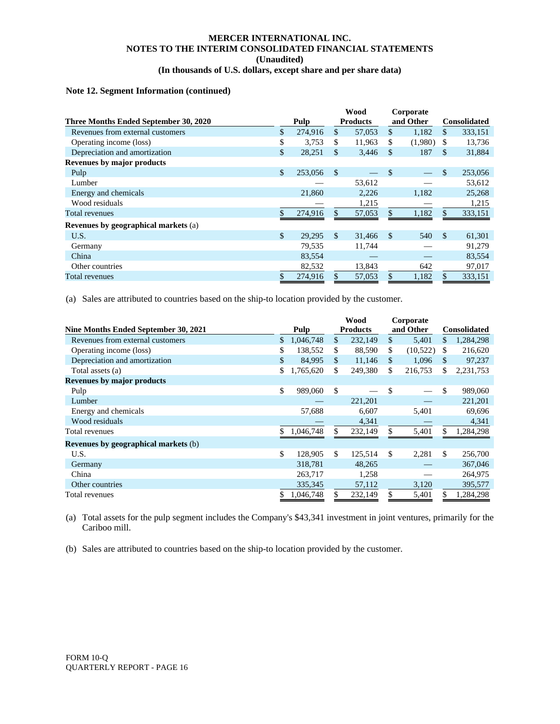#### **Note 12. Segment Information (continued)**

|                                       |              |         | <b>Wood</b>   |                 | Corporate     |           |               |                     |
|---------------------------------------|--------------|---------|---------------|-----------------|---------------|-----------|---------------|---------------------|
| Three Months Ended September 30, 2020 |              | Pulp    |               | <b>Products</b> |               | and Other |               | <b>Consolidated</b> |
| Revenues from external customers      | \$           | 274,916 | \$.           | 57,053          | \$.           | 1,182     | \$            | 333,151             |
| Operating income (loss)               | \$           | 3,753   | \$.           | 11,963          | \$            | (1,980)   | S             | 13,736              |
| Depreciation and amortization         | \$           | 28,251  | \$.           | 3,446           | <sup>\$</sup> | 187       | \$            | 31,884              |
| Revenues by major products            |              |         |               |                 |               |           |               |                     |
| Pulp                                  | \$           | 253,056 | <sup>\$</sup> |                 | $\mathcal{S}$ |           | \$            | 253,056             |
| Lumber                                |              |         |               | 53,612          |               |           |               | 53,612              |
| Energy and chemicals                  |              | 21,860  |               | 2,226           |               | 1,182     |               | 25,268              |
| Wood residuals                        |              |         |               | 1,215           |               |           |               | 1,215               |
| Total revenues                        | \$           | 274,916 | \$.           | 57,053          |               | 1,182     | \$            | 333,151             |
| Revenues by geographical markets (a)  |              |         |               |                 |               |           |               |                     |
| U.S.                                  | $\mathbb{S}$ | 29,295  | \$.           | 31,466          | $\mathcal{S}$ | 540       | <sup>\$</sup> | 61,301              |
| Germany                               |              | 79,535  |               | 11,744          |               |           |               | 91,279              |
| China                                 |              | 83,554  |               |                 |               |           |               | 83,554              |
| Other countries                       |              | 82,532  |               | 13,843          |               | 642       |               | 97,017              |
| Total revenues                        |              | 274,916 |               | 57,053          |               | 1,182     | \$            | 333,151             |

(a) Sales are attributed to countries based on the ship-to location provided by the customer.

|                                      |              |           | Wood            |         | Corporate |           |     |                     |
|--------------------------------------|--------------|-----------|-----------------|---------|-----------|-----------|-----|---------------------|
| Nine Months Ended September 30, 2021 |              | Pulp      | <b>Products</b> |         |           | and Other |     | <b>Consolidated</b> |
| Revenues from external customers     | $\mathbb{S}$ | 1,046,748 | \$              | 232,149 | \$        | 5,401     | \$  | 1,284,298           |
| Operating income (loss)              |              | 138,552   | \$              | 88,590  | \$        | (10,522)  | \$. | 216,620             |
| Depreciation and amortization        | \$           | 84,995    | \$              | 11,146  | \$        | 1,096     | S   | 97,237              |
| Total assets (a)                     |              | 1,765,620 | \$              | 249,380 | \$        | 216,753   | \$  | 2,231,753           |
| <b>Revenues by major products</b>    |              |           |                 |         |           |           |     |                     |
| Pulp                                 | \$           | 989,060   | \$              |         | \$        |           | \$  | 989,060             |
| Lumber                               |              |           |                 | 221,201 |           |           |     | 221,201             |
| Energy and chemicals                 |              | 57,688    |                 | 6,607   |           | 5,401     |     | 69,696              |
| Wood residuals                       |              |           |                 | 4,341   |           |           |     | 4,341               |
| Total revenues                       |              | 1,046,748 | \$              | 232,149 |           | 5,401     | \$  | 1,284,298           |
| Revenues by geographical markets (b) |              |           |                 |         |           |           |     |                     |
| U.S.                                 | \$           | 128,905   | \$              | 125,514 | \$.       | 2,281     | \$  | 256,700             |
| Germany                              |              | 318,781   |                 | 48,265  |           |           |     | 367,046             |
| China                                |              | 263,717   |                 | 1,258   |           |           |     | 264,975             |
| Other countries                      |              | 335,345   |                 | 57,112  |           | 3,120     |     | 395,577             |
| Total revenues                       |              | 1,046,748 | \$              | 232,149 |           | 5,401     | \$. | 1,284,298           |

(a) Total assets for the pulp segment includes the Company's \$43,341 investment in joint ventures, primarily for the Cariboo mill.

(b) Sales are attributed to countries based on the ship-to location provided by the customer.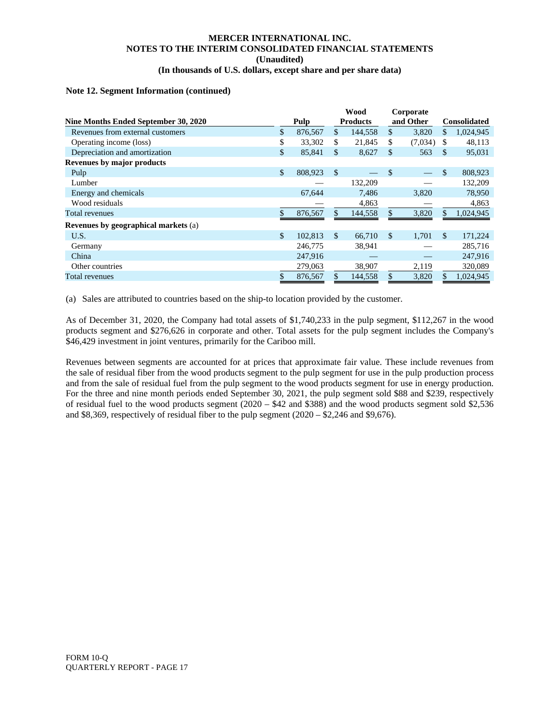#### **Note 12. Segment Information (continued)**

|                                             |               | Wood            |               | Corporate |               |                     |
|---------------------------------------------|---------------|-----------------|---------------|-----------|---------------|---------------------|
| Nine Months Ended September 30, 2020        | Pulp          | <b>Products</b> |               | and Other |               | <b>Consolidated</b> |
| Revenues from external customers            | \$<br>876,567 | \$<br>144,558   | \$            | 3,820     | \$            | 1,024,945           |
| Operating income (loss)                     | \$<br>33,302  | \$<br>21,845    | \$            | (7,034)   | <sup>\$</sup> | 48,113              |
| Depreciation and amortization               | \$<br>85,841  | \$<br>8,627     | \$            | 563       | \$.           | 95,031              |
| Revenues by major products                  |               |                 |               |           |               |                     |
| Pulp                                        | \$<br>808,923 | \$              | -\$           |           | \$            | 808,923             |
| Lumber                                      |               | 132,209         |               |           |               | 132,209             |
| Energy and chemicals                        | 67,644        | 7,486           |               | 3,820     |               | 78,950              |
| Wood residuals                              |               | 4,863           |               |           |               | 4,863               |
| Total revenues                              | \$<br>876,567 | 144,558         |               | 3,820     | \$            | 1,024,945           |
| <b>Revenues by geographical markets (a)</b> |               |                 |               |           |               |                     |
| U.S.                                        | \$<br>102,813 | \$<br>66,710    | <sup>\$</sup> | 1.701     | \$.           | 171,224             |
| Germany                                     | 246,775       | 38,941          |               |           |               | 285,716             |
| China                                       | 247,916       |                 |               |           |               | 247,916             |
| Other countries                             | 279,063       | 38,907          |               | 2,119     |               | 320,089             |
| Total revenues                              | \$<br>876,567 | 144,558         |               | 3,820     | \$            | 1,024,945           |

(a) Sales are attributed to countries based on the ship-to location provided by the customer.

As of December 31, 2020, the Company had total assets of \$1,740,233 in the pulp segment, \$112,267 in the wood products segment and \$276,626 in corporate and other. Total assets for the pulp segment includes the Company's \$46,429 investment in joint ventures, primarily for the Cariboo mill.

Revenues between segments are accounted for at prices that approximate fair value. These include revenues from the sale of residual fiber from the wood products segment to the pulp segment for use in the pulp production process and from the sale of residual fuel from the pulp segment to the wood products segment for use in energy production. For the three and nine month periods ended September 30, 2021, the pulp segment sold \$88 and \$239, respectively of residual fuel to the wood products segment (2020 – \$42 and \$388) and the wood products segment sold \$2,536 and \$8,369, respectively of residual fiber to the pulp segment (2020 – \$2,246 and \$9,676).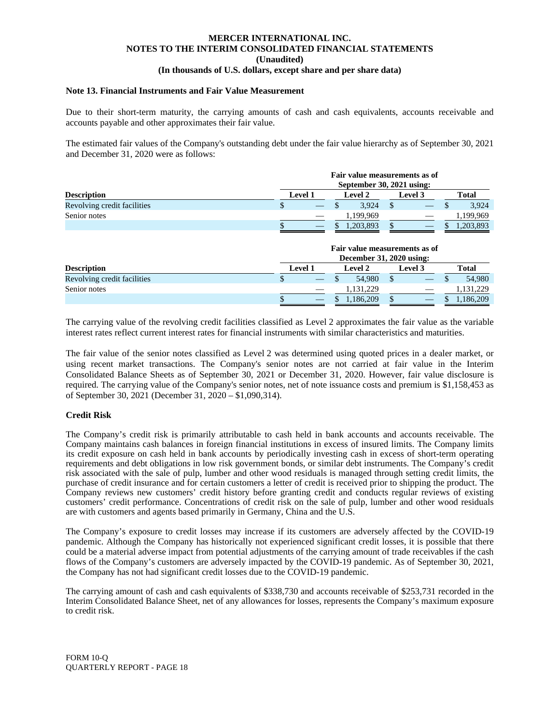#### **Note 13. Financial Instruments and Fair Value Measurement**

Due to their short-term maturity, the carrying amounts of cash and cash equivalents, accounts receivable and accounts payable and other approximates their fair value.

The estimated fair values of the Company's outstanding debt under the fair value hierarchy as of September 30, 2021 and December 31, 2020 were as follows:

| <b>Description</b>          |             | Fair value measurements as of<br>September 30, 2021 using: |                                                           |                                        |  |  |  |  |
|-----------------------------|-------------|------------------------------------------------------------|-----------------------------------------------------------|----------------------------------------|--|--|--|--|
|                             | Level 1     | <b>Level 2</b>                                             | <b>Level</b> 3                                            | <b>Total</b>                           |  |  |  |  |
| Revolving credit facilities | \$          | 3.924                                                      |                                                           | 3,924                                  |  |  |  |  |
| Senior notes                |             | 1,199,969                                                  |                                                           | 1,199,969                              |  |  |  |  |
|                             |             | 1,203,893                                                  |                                                           | 1,203,893                              |  |  |  |  |
|                             |             |                                                            | Fair value measurements as of<br>December 31, 2020 using: |                                        |  |  |  |  |
| $\mathbf{r}$ $\mathbf{r}$   | <b>T</b> 14 | $\mathbf{r}$ is $\mathbf{r}$ in                            |                                                           | $\mathbf{r}$ $\mathbf{r}$ $\mathbf{r}$ |  |  |  |  |

| <b>Description</b>          | Level 1 |                          | <b>Level 2</b> | <b>Level 3</b> |  | <b>Total</b> |  |
|-----------------------------|---------|--------------------------|----------------|----------------|--|--------------|--|
| Revolving credit facilities |         |                          | 54.980         |                |  | 54.980       |  |
| Senior notes                |         | $\overline{\phantom{a}}$ | .131,229       |                |  | 1,131,229    |  |
|                             |         |                          | .186,209       |                |  | 1,186,209    |  |
|                             |         |                          |                |                |  |              |  |

The carrying value of the revolving credit facilities classified as Level 2 approximates the fair value as the variable interest rates reflect current interest rates for financial instruments with similar characteristics and maturities.

The fair value of the senior notes classified as Level 2 was determined using quoted prices in a dealer market, or using recent market transactions. The Company's senior notes are not carried at fair value in the Interim Consolidated Balance Sheets as of September 30, 2021 or December 31, 2020. However, fair value disclosure is required. The carrying value of the Company's senior notes, net of note issuance costs and premium is \$1,158,453 as of September 30, 2021 (December 31, 2020 – \$1,090,314).

#### **Credit Risk**

The Company's credit risk is primarily attributable to cash held in bank accounts and accounts receivable. The Company maintains cash balances in foreign financial institutions in excess of insured limits. The Company limits its credit exposure on cash held in bank accounts by periodically investing cash in excess of short-term operating requirements and debt obligations in low risk government bonds, or similar debt instruments. The Company's credit risk associated with the sale of pulp, lumber and other wood residuals is managed through setting credit limits, the purchase of credit insurance and for certain customers a letter of credit is received prior to shipping the product. The Company reviews new customers' credit history before granting credit and conducts regular reviews of existing customers' credit performance. Concentrations of credit risk on the sale of pulp, lumber and other wood residuals are with customers and agents based primarily in Germany, China and the U.S.

The Company's exposure to credit losses may increase if its customers are adversely affected by the COVID-19 pandemic. Although the Company has historically not experienced significant credit losses, it is possible that there could be a material adverse impact from potential adjustments of the carrying amount of trade receivables if the cash flows of the Company's customers are adversely impacted by the COVID-19 pandemic. As of September 30, 2021, the Company has not had significant credit losses due to the COVID-19 pandemic.

The carrying amount of cash and cash equivalents of \$338,730 and accounts receivable of \$253,731 recorded in the Interim Consolidated Balance Sheet, net of any allowances for losses, represents the Company's maximum exposure to credit risk.

FORM 10-Q QUARTERLY REPORT - PAGE 18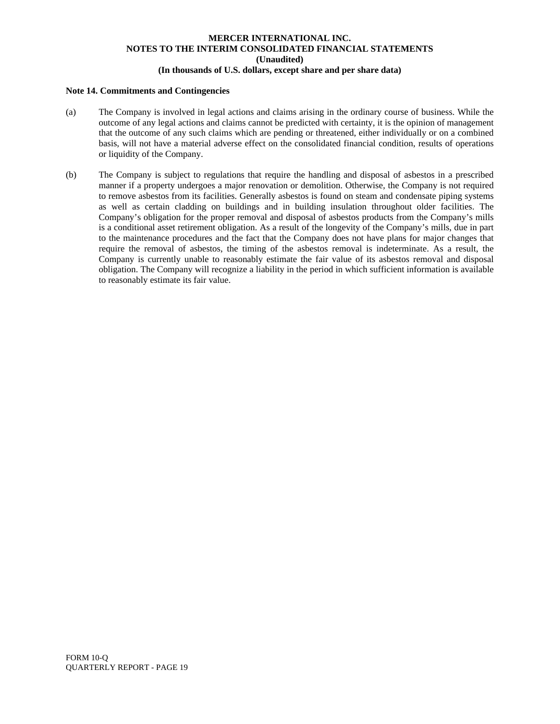#### **Note 14. Commitments and Contingencies**

- (a) The Company is involved in legal actions and claims arising in the ordinary course of business. While the outcome of any legal actions and claims cannot be predicted with certainty, it is the opinion of management that the outcome of any such claims which are pending or threatened, either individually or on a combined basis, will not have a material adverse effect on the consolidated financial condition, results of operations or liquidity of the Company.
- (b) The Company is subject to regulations that require the handling and disposal of asbestos in a prescribed manner if a property undergoes a major renovation or demolition. Otherwise, the Company is not required to remove asbestos from its facilities. Generally asbestos is found on steam and condensate piping systems as well as certain cladding on buildings and in building insulation throughout older facilities. The Company's obligation for the proper removal and disposal of asbestos products from the Company's mills is a conditional asset retirement obligation. As a result of the longevity of the Company's mills, due in part to the maintenance procedures and the fact that the Company does not have plans for major changes that require the removal of asbestos, the timing of the asbestos removal is indeterminate. As a result, the Company is currently unable to reasonably estimate the fair value of its asbestos removal and disposal obligation. The Company will recognize a liability in the period in which sufficient information is available to reasonably estimate its fair value.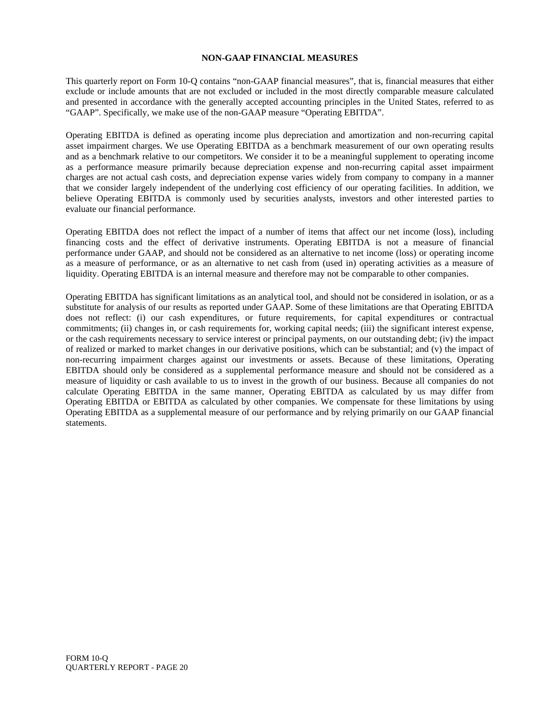#### **NON-GAAP FINANCIAL MEASURES**

This quarterly report on Form 10-Q contains "non-GAAP financial measures", that is, financial measures that either exclude or include amounts that are not excluded or included in the most directly comparable measure calculated and presented in accordance with the generally accepted accounting principles in the United States, referred to as "GAAP". Specifically, we make use of the non-GAAP measure "Operating EBITDA".

Operating EBITDA is defined as operating income plus depreciation and amortization and non-recurring capital asset impairment charges. We use Operating EBITDA as a benchmark measurement of our own operating results and as a benchmark relative to our competitors. We consider it to be a meaningful supplement to operating income as a performance measure primarily because depreciation expense and non-recurring capital asset impairment charges are not actual cash costs, and depreciation expense varies widely from company to company in a manner that we consider largely independent of the underlying cost efficiency of our operating facilities. In addition, we believe Operating EBITDA is commonly used by securities analysts, investors and other interested parties to evaluate our financial performance.

Operating EBITDA does not reflect the impact of a number of items that affect our net income (loss), including financing costs and the effect of derivative instruments. Operating EBITDA is not a measure of financial performance under GAAP, and should not be considered as an alternative to net income (loss) or operating income as a measure of performance, or as an alternative to net cash from (used in) operating activities as a measure of liquidity. Operating EBITDA is an internal measure and therefore may not be comparable to other companies.

Operating EBITDA has significant limitations as an analytical tool, and should not be considered in isolation, or as a substitute for analysis of our results as reported under GAAP. Some of these limitations are that Operating EBITDA does not reflect: (i) our cash expenditures, or future requirements, for capital expenditures or contractual commitments; (ii) changes in, or cash requirements for, working capital needs; (iii) the significant interest expense, or the cash requirements necessary to service interest or principal payments, on our outstanding debt; (iv) the impact of realized or marked to market changes in our derivative positions, which can be substantial; and (v) the impact of non-recurring impairment charges against our investments or assets. Because of these limitations, Operating EBITDA should only be considered as a supplemental performance measure and should not be considered as a measure of liquidity or cash available to us to invest in the growth of our business. Because all companies do not calculate Operating EBITDA in the same manner, Operating EBITDA as calculated by us may differ from Operating EBITDA or EBITDA as calculated by other companies. We compensate for these limitations by using Operating EBITDA as a supplemental measure of our performance and by relying primarily on our GAAP financial statements.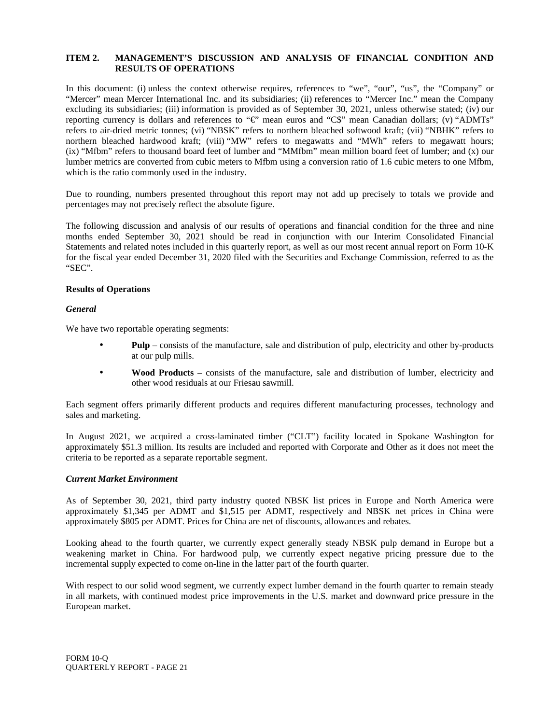#### **ITEM 2. MANAGEMENT'S DISCUSSION AND ANALYSIS OF FINANCIAL CONDITION AND RESULTS OF OPERATIONS**

In this document: (i) unless the context otherwise requires, references to "we", "our", "us", the "Company" or "Mercer" mean Mercer International Inc. and its subsidiaries; (ii) references to "Mercer Inc." mean the Company excluding its subsidiaries; (iii) information is provided as of September 30, 2021, unless otherwise stated; (iv) our reporting currency is dollars and references to "€" mean euros and "C\$" mean Canadian dollars; (v) "ADMTs" refers to air-dried metric tonnes; (vi) "NBSK" refers to northern bleached softwood kraft; (vii) "NBHK" refers to northern bleached hardwood kraft; (viii) "MW" refers to megawatts and "MWh" refers to megawatt hours; (ix) "Mfbm" refers to thousand board feet of lumber and "MMfbm" mean million board feet of lumber; and (x) our lumber metrics are converted from cubic meters to Mfbm using a conversion ratio of 1.6 cubic meters to one Mfbm, which is the ratio commonly used in the industry.

Due to rounding, numbers presented throughout this report may not add up precisely to totals we provide and percentages may not precisely reflect the absolute figure.

The following discussion and analysis of our results of operations and financial condition for the three and nine months ended September 30, 2021 should be read in conjunction with our Interim Consolidated Financial Statements and related notes included in this quarterly report, as well as our most recent annual report on Form 10-K for the fiscal year ended December 31, 2020 filed with the Securities and Exchange Commission, referred to as the "SEC".

#### **Results of Operations**

#### *General*

We have two reportable operating segments:

- **Pulp** consists of the manufacture, sale and distribution of pulp, electricity and other by-products at our pulp mills.
- **Wood Products** consists of the manufacture, sale and distribution of lumber, electricity and other wood residuals at our Friesau sawmill.

Each segment offers primarily different products and requires different manufacturing processes, technology and sales and marketing.

In August 2021, we acquired a cross-laminated timber ("CLT") facility located in Spokane Washington for approximately \$51.3 million. Its results are included and reported with Corporate and Other as it does not meet the criteria to be reported as a separate reportable segment.

#### *Current Market Environment*

As of September 30, 2021, third party industry quoted NBSK list prices in Europe and North America were approximately \$1,345 per ADMT and \$1,515 per ADMT, respectively and NBSK net prices in China were approximately \$805 per ADMT. Prices for China are net of discounts, allowances and rebates.

Looking ahead to the fourth quarter, we currently expect generally steady NBSK pulp demand in Europe but a weakening market in China. For hardwood pulp, we currently expect negative pricing pressure due to the incremental supply expected to come on-line in the latter part of the fourth quarter.

With respect to our solid wood segment, we currently expect lumber demand in the fourth quarter to remain steady in all markets, with continued modest price improvements in the U.S. market and downward price pressure in the European market.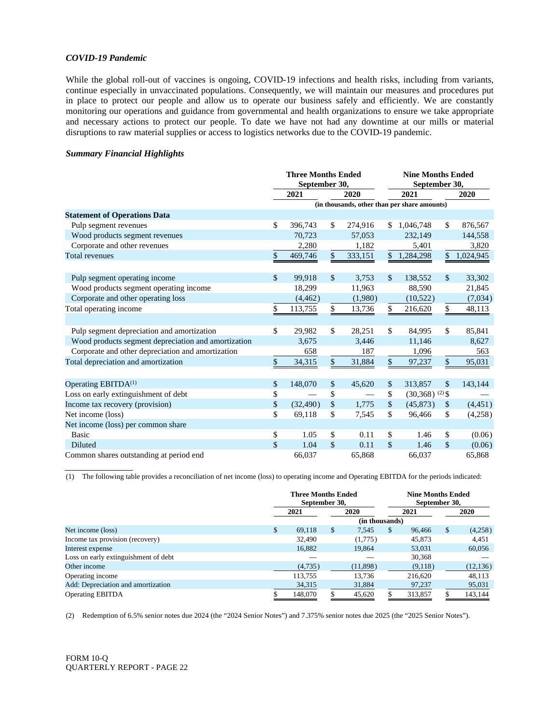#### *COVID-19 Pandemic*

While the global roll-out of vaccines is ongoing, COVID-19 infections and health risks, including from variants, continue especially in unvaccinated populations. Consequently, we will maintain our measures and procedures put in place to protect our people and allow us to operate our business safely and efficiently. We are constantly monitoring our operations and guidance from governmental and health organizations to ensure we take appropriate and necessary actions to protect our people. To date we have not had any downtime at our mills or material disruptions to raw material supplies or access to logistics networks due to the COVID-19 pandemic.

#### *Summary Financial Highlights*

|                                                     | <b>Three Months Ended</b><br>September 30, |           |    | <b>Nine Months Ended</b><br>September 30,    |                    |                              |               |           |
|-----------------------------------------------------|--------------------------------------------|-----------|----|----------------------------------------------|--------------------|------------------------------|---------------|-----------|
|                                                     |                                            | 2021      |    | 2020                                         | 2021               |                              |               | 2020      |
|                                                     |                                            |           |    | (in thousands, other than per share amounts) |                    |                              |               |           |
| <b>Statement of Operations Data</b>                 |                                            |           |    |                                              |                    |                              |               |           |
| Pulp segment revenues                               | \$                                         | 396,743   | \$ | 274,916                                      | \$                 | 1,046,748                    | $\mathbb{S}$  | 876,567   |
| Wood products segment revenues                      |                                            | 70,723    |    | 57,053                                       |                    | 232,149                      |               | 144,558   |
| Corporate and other revenues                        |                                            | 2,280     |    | 1,182                                        |                    | 5,401                        |               | 3,820     |
| <b>Total revenues</b>                               | \$                                         | 469,746   | \$ | 333,151                                      | $\mathbb{S}$       | 1,284,298                    | \$            | 1,024,945 |
|                                                     |                                            |           |    |                                              |                    |                              |               |           |
| Pulp segment operating income                       | \$                                         | 99,918    | \$ | 3,753                                        | $\mathbb{S}$       | 138,552                      | $\frac{1}{2}$ | 33,302    |
| Wood products segment operating income              |                                            | 18,299    |    | 11,963                                       |                    | 88,590                       |               | 21,845    |
| Corporate and other operating loss                  |                                            | (4, 462)  |    | (1,980)                                      |                    | (10,522)                     |               | (7,034)   |
| Total operating income                              | \$                                         | 113,755   | \$ | 13,736                                       | \$                 | 216,620                      | \$            | 48,113    |
|                                                     |                                            |           |    |                                              |                    |                              |               |           |
| Pulp segment depreciation and amortization          | \$                                         | 29,982    | \$ | 28,251                                       | $\mathbb{S}$       | 84,995                       | \$            | 85,841    |
| Wood products segment depreciation and amortization |                                            | 3,675     |    | 3,446                                        |                    | 11,146                       |               | 8,627     |
| Corporate and other depreciation and amortization   |                                            | 658       |    | 187                                          |                    | 1,096                        |               | 563       |
| Total depreciation and amortization                 | \$                                         | 34,315    | \$ | 31,884                                       | \$                 | 97,237                       | \$            | 95,031    |
|                                                     |                                            |           |    |                                              |                    |                              |               |           |
| Operating EBITDA <sup>(1)</sup>                     | \$                                         | 148,070   | \$ | 45,620                                       | \$                 | 313,857                      | $\mathbb{S}$  | 143,144   |
| Loss on early extinguishment of debt                | \$                                         |           | \$ |                                              | \$                 | $(30,368)$ <sup>(2)</sup> \$ |               |           |
| Income tax recovery (provision)                     | \$                                         | (32, 490) | \$ | 1,775                                        | \$                 | (45, 873)                    | $\frac{1}{2}$ | (4, 451)  |
| Net income (loss)                                   | \$                                         | 69,118    | \$ | 7,545                                        | \$                 | 96,466                       | \$            | (4,258)   |
| Net income (loss) per common share                  |                                            |           |    |                                              |                    |                              |               |           |
| <b>Basic</b>                                        | \$                                         | 1.05      | \$ | 0.11                                         | $\mathbf{\hat{S}}$ | 1.46                         | \$            | (0.06)    |
| <b>Diluted</b>                                      | \$                                         | 1.04      | \$ | 0.11                                         | $\mathcal{S}$      | 1.46                         | $\mathcal{S}$ | (0.06)    |
| Common shares outstanding at period end             |                                            | 66.037    |    | 65.868                                       |                    | 66.037                       |               | 65,868    |

(1) The following table provides a reconciliation of net income (loss) to operating income and Operating EBITDA for the periods indicated:

|                                      |     | <b>Three Months Ended</b><br>September 30, |      | <b>Nine Months Ended</b><br>September 30, |               |         |    |             |
|--------------------------------------|-----|--------------------------------------------|------|-------------------------------------------|---------------|---------|----|-------------|
|                                      |     | 2021                                       | 2020 |                                           | 2021          |         |    | <b>2020</b> |
|                                      |     |                                            |      | (in thousands)                            |               |         |    |             |
| Net income (loss)                    | \$. | 69.118                                     | \$.  | 7.545                                     | <sup>\$</sup> | 96.466  | \$ | (4,258)     |
| Income tax provision (recovery)      |     | 32,490                                     |      | (1,775)                                   |               | 45,873  |    | 4,451       |
| Interest expense                     |     | 16,882                                     |      | 19,864                                    |               | 53,031  |    | 60,056      |
| Loss on early extinguishment of debt |     |                                            |      |                                           |               | 30,368  |    |             |
| Other income                         |     | (4,735)                                    |      | (11,898)                                  |               | (9,118) |    | (12, 136)   |
| Operating income                     |     | 113.755                                    |      | 13.736                                    |               | 216,620 |    | 48,113      |
| Add: Depreciation and amortization   |     | 34,315                                     |      | 31,884                                    |               | 97,237  |    | 95,031      |
| <b>Operating EBITDA</b>              |     | 148,070                                    |      | 45,620                                    |               | 313,857 |    | 143,144     |

(2) Redemption of 6.5% senior notes due 2024 (the "2024 Senior Notes") and 7.375% senior notes due 2025 (the "2025 Senior Notes").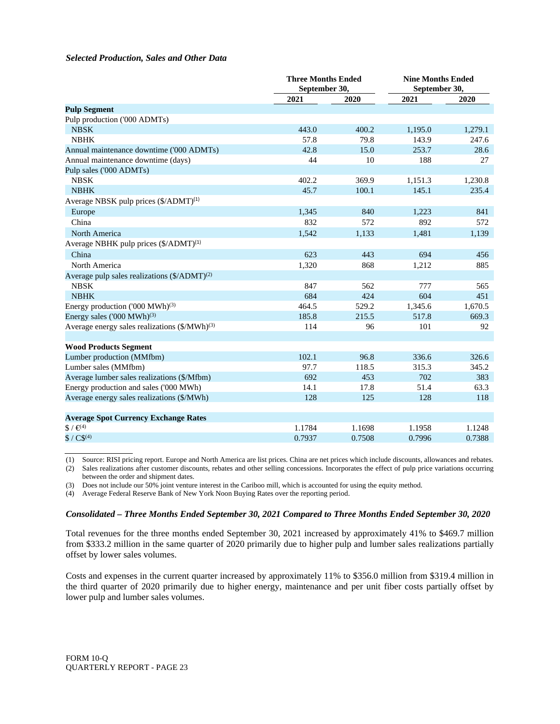#### *Selected Production, Sales and Other Data*

|                                                           | <b>Three Months Ended</b><br>September 30, |        | <b>Nine Months Ended</b><br>September 30, |         |
|-----------------------------------------------------------|--------------------------------------------|--------|-------------------------------------------|---------|
|                                                           | 2021                                       | 2020   | 2021                                      | 2020    |
| <b>Pulp Segment</b>                                       |                                            |        |                                           |         |
| Pulp production ('000 ADMTs)                              |                                            |        |                                           |         |
| <b>NBSK</b>                                               | 443.0                                      | 400.2  | 1,195.0                                   | 1,279.1 |
| <b>NBHK</b>                                               | 57.8                                       | 79.8   | 143.9                                     | 247.6   |
| Annual maintenance downtime ('000 ADMTs)                  | 42.8                                       | 15.0   | 253.7                                     | 28.6    |
| Annual maintenance downtime (days)                        | 44                                         | 10     | 188                                       | 27      |
| Pulp sales ('000 ADMTs)                                   |                                            |        |                                           |         |
| <b>NBSK</b>                                               | 402.2                                      | 369.9  | 1,151.3                                   | 1,230.8 |
| <b>NBHK</b>                                               | 45.7                                       | 100.1  | 145.1                                     | 235.4   |
| Average NBSK pulp prices (\$/ADMT) <sup>(1)</sup>         |                                            |        |                                           |         |
| Europe                                                    | 1,345                                      | 840    | 1,223                                     | 841     |
| China                                                     | 832                                        | 572    | 892                                       | 572     |
| North America                                             | 1,542                                      | 1,133  | 1,481                                     | 1,139   |
| Average NBHK pulp prices (\$/ADMT) <sup>(1)</sup>         |                                            |        |                                           |         |
| China                                                     | 623                                        | 443    | 694                                       | 456     |
| North America                                             | 1,320                                      | 868    | 1,212                                     | 885     |
| Average pulp sales realizations (\$/ADMT) <sup>(2)</sup>  |                                            |        |                                           |         |
| <b>NBSK</b>                                               | 847                                        | 562    | 777                                       | 565     |
| <b>NBHK</b>                                               | 684                                        | 424    | 604                                       | 451     |
| Energy production ('000 MWh) <sup>(3)</sup>               | 464.5                                      | 529.2  | 1,345.6                                   | 1,670.5 |
| Energy sales $(000 \text{ MWh})^{(3)}$                    | 185.8                                      | 215.5  | 517.8                                     | 669.3   |
| Average energy sales realizations (\$/MWh) <sup>(3)</sup> | 114                                        | 96     | 101                                       | 92      |
|                                                           |                                            |        |                                           |         |
| <b>Wood Products Segment</b>                              |                                            |        |                                           |         |
| Lumber production (MMfbm)                                 | 102.1                                      | 96.8   | 336.6                                     | 326.6   |
| Lumber sales (MMfbm)                                      | 97.7                                       | 118.5  | 315.3                                     | 345.2   |
| Average lumber sales realizations (\$/Mfbm)               | 692                                        | 453    | 702                                       | 383     |
| Energy production and sales ('000 MWh)                    | 14.1                                       | 17.8   | 51.4                                      | 63.3    |
| Average energy sales realizations (\$/MWh)                | 128                                        | 125    | 128                                       | 118     |
|                                                           |                                            |        |                                           |         |
| <b>Average Spot Currency Exchange Rates</b>               |                                            |        |                                           |         |
| $$/ \infty$ <sup>49</sup>                                 | 1.1784                                     | 1.1698 | 1.1958                                    | 1.1248  |
| $$ / C$^{(4)}$                                            | 0.7937                                     | 0.7508 | 0.7996                                    | 0.7388  |

(1) Source: RISI pricing report. Europe and North America are list prices. China are net prices which include discounts, allowances and rebates.

(2) Sales realizations after customer discounts, rebates and other selling concessions. Incorporates the effect of pulp price variations occurring between the order and shipment dates.

(3) Does not include our 50% joint venture interest in the Cariboo mill, which is accounted for using the equity method.

(4) Average Federal Reserve Bank of New York Noon Buying Rates over the reporting period.

#### *Consolidated – Three Months Ended September 30, 2021 Compared to Three Months Ended September 30, 2020*

Total revenues for the three months ended September 30, 2021 increased by approximately 41% to \$469.7 million from \$333.2 million in the same quarter of 2020 primarily due to higher pulp and lumber sales realizations partially offset by lower sales volumes.

Costs and expenses in the current quarter increased by approximately 11% to \$356.0 million from \$319.4 million in the third quarter of 2020 primarily due to higher energy, maintenance and per unit fiber costs partially offset by lower pulp and lumber sales volumes.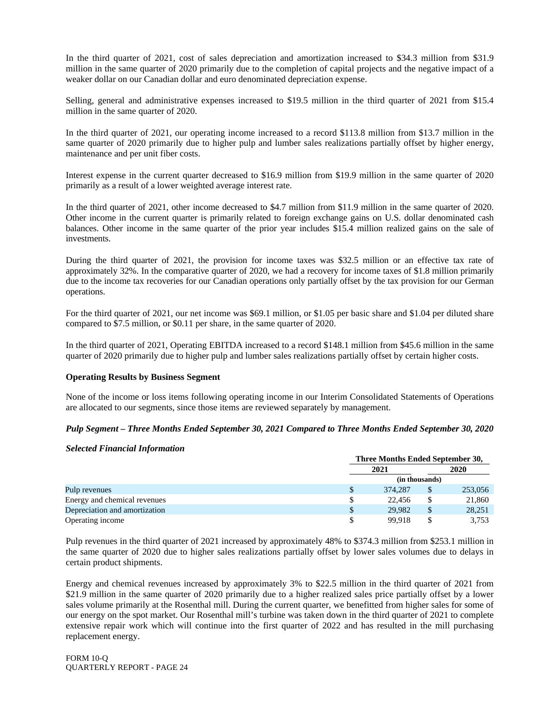In the third quarter of 2021, cost of sales depreciation and amortization increased to \$34.3 million from \$31.9 million in the same quarter of 2020 primarily due to the completion of capital projects and the negative impact of a weaker dollar on our Canadian dollar and euro denominated depreciation expense.

Selling, general and administrative expenses increased to \$19.5 million in the third quarter of 2021 from \$15.4 million in the same quarter of 2020.

In the third quarter of 2021, our operating income increased to a record \$113.8 million from \$13.7 million in the same quarter of 2020 primarily due to higher pulp and lumber sales realizations partially offset by higher energy, maintenance and per unit fiber costs.

Interest expense in the current quarter decreased to \$16.9 million from \$19.9 million in the same quarter of 2020 primarily as a result of a lower weighted average interest rate.

In the third quarter of 2021, other income decreased to \$4.7 million from \$11.9 million in the same quarter of 2020. Other income in the current quarter is primarily related to foreign exchange gains on U.S. dollar denominated cash balances. Other income in the same quarter of the prior year includes \$15.4 million realized gains on the sale of investments.

During the third quarter of 2021, the provision for income taxes was \$32.5 million or an effective tax rate of approximately 32%. In the comparative quarter of 2020, we had a recovery for income taxes of \$1.8 million primarily due to the income tax recoveries for our Canadian operations only partially offset by the tax provision for our German operations.

For the third quarter of 2021, our net income was \$69.1 million, or \$1.05 per basic share and \$1.04 per diluted share compared to \$7.5 million, or \$0.11 per share, in the same quarter of 2020.

In the third quarter of 2021, Operating EBITDA increased to a record \$148.1 million from \$45.6 million in the same quarter of 2020 primarily due to higher pulp and lumber sales realizations partially offset by certain higher costs.

#### **Operating Results by Business Segment**

None of the income or loss items following operating income in our Interim Consolidated Statements of Operations are allocated to our segments, since those items are reviewed separately by management.

#### *Pulp Segment – Three Months Ended September 30, 2021 Compared to Three Months Ended September 30, 2020*

#### *Selected Financial Information*

|                               |   | Three Months Ended September 30, |                |         |  |  |
|-------------------------------|---|----------------------------------|----------------|---------|--|--|
|                               |   | 2021                             |                |         |  |  |
|                               |   |                                  | (in thousands) |         |  |  |
| Pulp revenues                 | S | 374,287                          | \$             | 253,056 |  |  |
| Energy and chemical revenues  | S | 22.456                           | \$             | 21,860  |  |  |
| Depreciation and amortization |   | 29.982                           | \$             | 28,251  |  |  |
| Operating income              |   | 99.918                           |                | 3,753   |  |  |

Pulp revenues in the third quarter of 2021 increased by approximately 48% to \$374.3 million from \$253.1 million in the same quarter of 2020 due to higher sales realizations partially offset by lower sales volumes due to delays in certain product shipments.

Energy and chemical revenues increased by approximately 3% to \$22.5 million in the third quarter of 2021 from \$21.9 million in the same quarter of 2020 primarily due to a higher realized sales price partially offset by a lower sales volume primarily at the Rosenthal mill. During the current quarter, we benefitted from higher sales for some of our energy on the spot market. Our Rosenthal mill's turbine was taken down in the third quarter of 2021 to complete extensive repair work which will continue into the first quarter of 2022 and has resulted in the mill purchasing replacement energy.

FORM 10-Q QUARTERLY REPORT - PAGE 24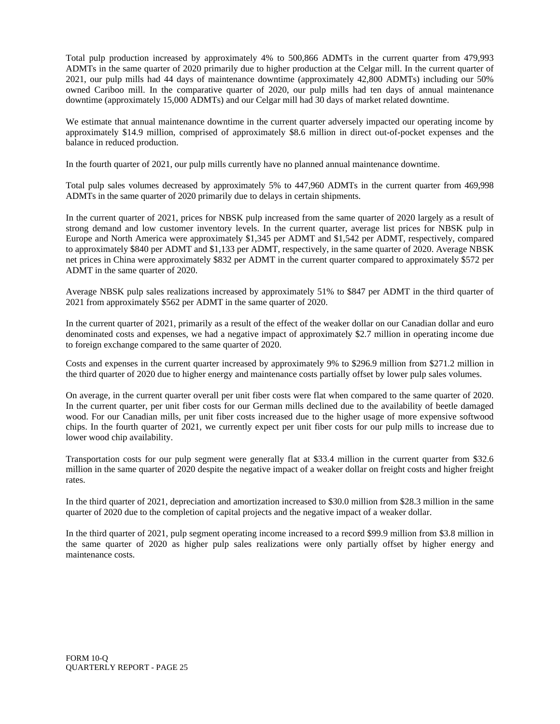Total pulp production increased by approximately 4% to 500,866 ADMTs in the current quarter from 479,993 ADMTs in the same quarter of 2020 primarily due to higher production at the Celgar mill. In the current quarter of 2021, our pulp mills had 44 days of maintenance downtime (approximately 42,800 ADMTs) including our 50% owned Cariboo mill. In the comparative quarter of 2020, our pulp mills had ten days of annual maintenance downtime (approximately 15,000 ADMTs) and our Celgar mill had 30 days of market related downtime.

We estimate that annual maintenance downtime in the current quarter adversely impacted our operating income by approximately \$14.9 million, comprised of approximately \$8.6 million in direct out-of-pocket expenses and the balance in reduced production.

In the fourth quarter of 2021, our pulp mills currently have no planned annual maintenance downtime.

Total pulp sales volumes decreased by approximately 5% to 447,960 ADMTs in the current quarter from 469,998 ADMTs in the same quarter of 2020 primarily due to delays in certain shipments.

In the current quarter of 2021, prices for NBSK pulp increased from the same quarter of 2020 largely as a result of strong demand and low customer inventory levels. In the current quarter, average list prices for NBSK pulp in Europe and North America were approximately \$1,345 per ADMT and \$1,542 per ADMT, respectively, compared to approximately \$840 per ADMT and \$1,133 per ADMT, respectively, in the same quarter of 2020. Average NBSK net prices in China were approximately \$832 per ADMT in the current quarter compared to approximately \$572 per ADMT in the same quarter of 2020.

Average NBSK pulp sales realizations increased by approximately 51% to \$847 per ADMT in the third quarter of 2021 from approximately \$562 per ADMT in the same quarter of 2020.

In the current quarter of 2021, primarily as a result of the effect of the weaker dollar on our Canadian dollar and euro denominated costs and expenses, we had a negative impact of approximately \$2.7 million in operating income due to foreign exchange compared to the same quarter of 2020.

Costs and expenses in the current quarter increased by approximately 9% to \$296.9 million from \$271.2 million in the third quarter of 2020 due to higher energy and maintenance costs partially offset by lower pulp sales volumes.

On average, in the current quarter overall per unit fiber costs were flat when compared to the same quarter of 2020. In the current quarter, per unit fiber costs for our German mills declined due to the availability of beetle damaged wood. For our Canadian mills, per unit fiber costs increased due to the higher usage of more expensive softwood chips. In the fourth quarter of 2021, we currently expect per unit fiber costs for our pulp mills to increase due to lower wood chip availability.

Transportation costs for our pulp segment were generally flat at \$33.4 million in the current quarter from \$32.6 million in the same quarter of 2020 despite the negative impact of a weaker dollar on freight costs and higher freight rates.

In the third quarter of 2021, depreciation and amortization increased to \$30.0 million from \$28.3 million in the same quarter of 2020 due to the completion of capital projects and the negative impact of a weaker dollar.

In the third quarter of 2021, pulp segment operating income increased to a record \$99.9 million from \$3.8 million in the same quarter of 2020 as higher pulp sales realizations were only partially offset by higher energy and maintenance costs.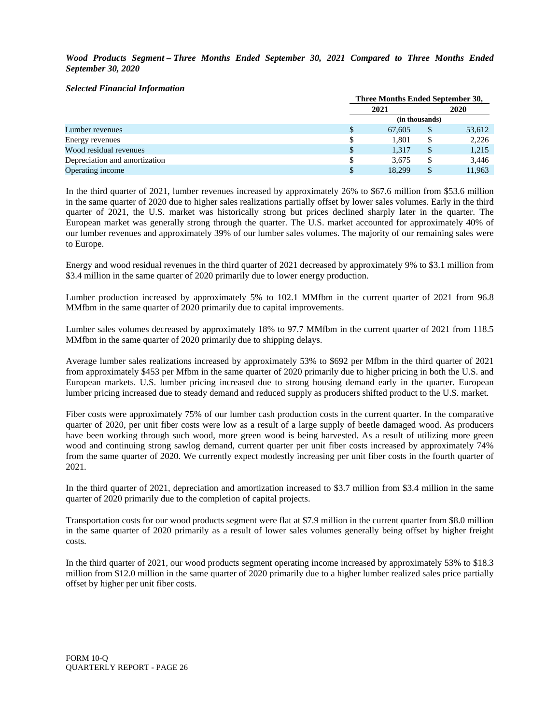*Wood Products Segment – Three Months Ended September 30, 2021 Compared to Three Months Ended September 30, 2020*

#### *Selected Financial Information*

|                               | Three Months Ended September 30, |                |        |  |  |  |
|-------------------------------|----------------------------------|----------------|--------|--|--|--|
|                               | 2021                             |                | 2020   |  |  |  |
|                               |                                  | (in thousands) |        |  |  |  |
| Lumber revenues               | 67.605                           | S              | 53,612 |  |  |  |
| Energy revenues               | 1.801                            |                | 2,226  |  |  |  |
| Wood residual revenues        | \$<br>1.317                      | \$.            | 1,215  |  |  |  |
| Depreciation and amortization | 3,675                            |                | 3,446  |  |  |  |
| Operating income              | 18.299                           |                | 11.963 |  |  |  |

In the third quarter of 2021, lumber revenues increased by approximately 26% to \$67.6 million from \$53.6 million in the same quarter of 2020 due to higher sales realizations partially offset by lower sales volumes. Early in the third quarter of 2021, the U.S. market was historically strong but prices declined sharply later in the quarter. The European market was generally strong through the quarter. The U.S. market accounted for approximately 40% of our lumber revenues and approximately 39% of our lumber sales volumes. The majority of our remaining sales were to Europe.

Energy and wood residual revenues in the third quarter of 2021 decreased by approximately 9% to \$3.1 million from \$3.4 million in the same quarter of 2020 primarily due to lower energy production.

Lumber production increased by approximately 5% to 102.1 MMfbm in the current quarter of 2021 from 96.8 MMfbm in the same quarter of 2020 primarily due to capital improvements.

Lumber sales volumes decreased by approximately 18% to 97.7 MMfbm in the current quarter of 2021 from 118.5 MMfbm in the same quarter of 2020 primarily due to shipping delays.

Average lumber sales realizations increased by approximately 53% to \$692 per Mfbm in the third quarter of 2021 from approximately \$453 per Mfbm in the same quarter of 2020 primarily due to higher pricing in both the U.S. and European markets. U.S. lumber pricing increased due to strong housing demand early in the quarter. European lumber pricing increased due to steady demand and reduced supply as producers shifted product to the U.S. market.

Fiber costs were approximately 75% of our lumber cash production costs in the current quarter. In the comparative quarter of 2020, per unit fiber costs were low as a result of a large supply of beetle damaged wood. As producers have been working through such wood, more green wood is being harvested. As a result of utilizing more green wood and continuing strong sawlog demand, current quarter per unit fiber costs increased by approximately 74% from the same quarter of 2020. We currently expect modestly increasing per unit fiber costs in the fourth quarter of 2021.

In the third quarter of 2021, depreciation and amortization increased to \$3.7 million from \$3.4 million in the same quarter of 2020 primarily due to the completion of capital projects.

Transportation costs for our wood products segment were flat at \$7.9 million in the current quarter from \$8.0 million in the same quarter of 2020 primarily as a result of lower sales volumes generally being offset by higher freight costs.

In the third quarter of 2021, our wood products segment operating income increased by approximately 53% to \$18.3 million from \$12.0 million in the same quarter of 2020 primarily due to a higher lumber realized sales price partially offset by higher per unit fiber costs.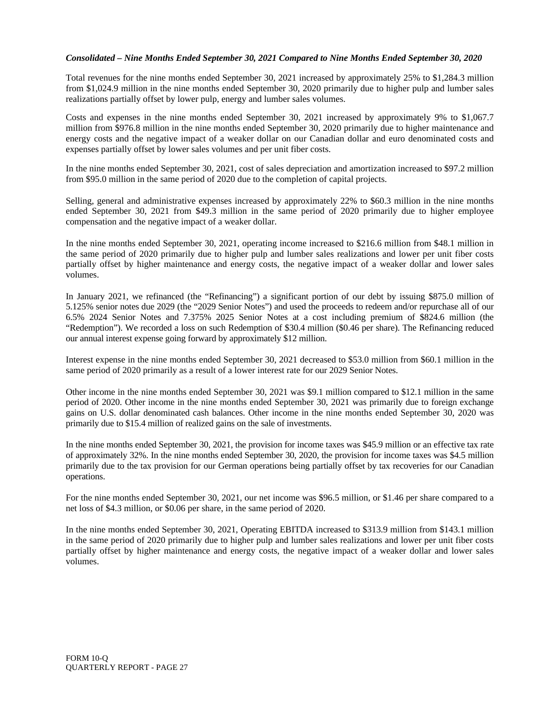#### *Consolidated – Nine Months Ended September 30, 2021 Compared to Nine Months Ended September 30, 2020*

Total revenues for the nine months ended September 30, 2021 increased by approximately 25% to \$1,284.3 million from \$1,024.9 million in the nine months ended September 30, 2020 primarily due to higher pulp and lumber sales realizations partially offset by lower pulp, energy and lumber sales volumes.

Costs and expenses in the nine months ended September 30, 2021 increased by approximately 9% to \$1,067.7 million from \$976.8 million in the nine months ended September 30, 2020 primarily due to higher maintenance and energy costs and the negative impact of a weaker dollar on our Canadian dollar and euro denominated costs and expenses partially offset by lower sales volumes and per unit fiber costs.

In the nine months ended September 30, 2021, cost of sales depreciation and amortization increased to \$97.2 million from \$95.0 million in the same period of 2020 due to the completion of capital projects.

Selling, general and administrative expenses increased by approximately 22% to \$60.3 million in the nine months ended September 30, 2021 from \$49.3 million in the same period of 2020 primarily due to higher employee compensation and the negative impact of a weaker dollar.

In the nine months ended September 30, 2021, operating income increased to \$216.6 million from \$48.1 million in the same period of 2020 primarily due to higher pulp and lumber sales realizations and lower per unit fiber costs partially offset by higher maintenance and energy costs, the negative impact of a weaker dollar and lower sales volumes.

In January 2021, we refinanced (the "Refinancing") a significant portion of our debt by issuing \$875.0 million of 5.125% senior notes due 2029 (the "2029 Senior Notes") and used the proceeds to redeem and/or repurchase all of our 6.5% 2024 Senior Notes and 7.375% 2025 Senior Notes at a cost including premium of \$824.6 million (the "Redemption"). We recorded a loss on such Redemption of \$30.4 million (\$0.46 per share). The Refinancing reduced our annual interest expense going forward by approximately \$12 million.

Interest expense in the nine months ended September 30, 2021 decreased to \$53.0 million from \$60.1 million in the same period of 2020 primarily as a result of a lower interest rate for our 2029 Senior Notes.

Other income in the nine months ended September 30, 2021 was \$9.1 million compared to \$12.1 million in the same period of 2020. Other income in the nine months ended September 30, 2021 was primarily due to foreign exchange gains on U.S. dollar denominated cash balances. Other income in the nine months ended September 30, 2020 was primarily due to \$15.4 million of realized gains on the sale of investments.

In the nine months ended September 30, 2021, the provision for income taxes was \$45.9 million or an effective tax rate of approximately 32%. In the nine months ended September 30, 2020, the provision for income taxes was \$4.5 million primarily due to the tax provision for our German operations being partially offset by tax recoveries for our Canadian operations.

For the nine months ended September 30, 2021, our net income was \$96.5 million, or \$1.46 per share compared to a net loss of \$4.3 million, or \$0.06 per share, in the same period of 2020.

In the nine months ended September 30, 2021, Operating EBITDA increased to \$313.9 million from \$143.1 million in the same period of 2020 primarily due to higher pulp and lumber sales realizations and lower per unit fiber costs partially offset by higher maintenance and energy costs, the negative impact of a weaker dollar and lower sales volumes.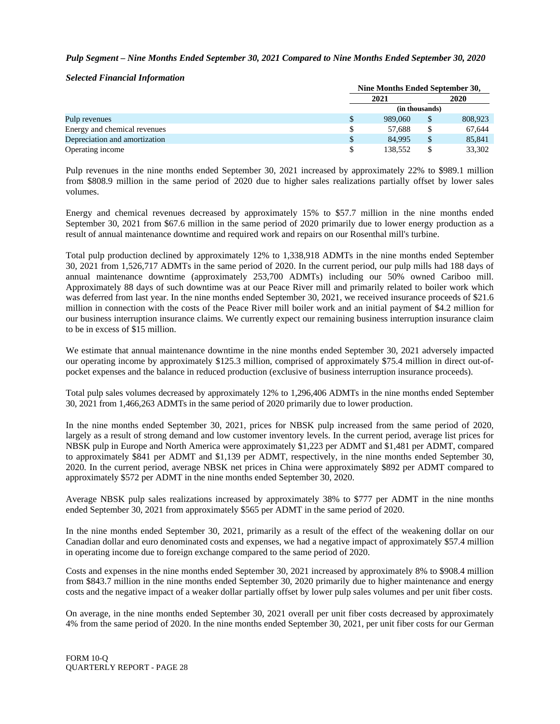#### *Pulp Segment – Nine Months Ended September 30, 2021 Compared to Nine Months Ended September 30, 2020*

*Selected Financial Information*

|                               |    | Nine Months Ended September 30, |                |         |  |  |
|-------------------------------|----|---------------------------------|----------------|---------|--|--|
|                               |    | 2021                            |                |         |  |  |
|                               |    |                                 | (in thousands) |         |  |  |
| Pulp revenues                 | S  | 989,060                         |                | 808,923 |  |  |
| Energy and chemical revenues  |    | 57.688                          |                | 67.644  |  |  |
| Depreciation and amortization | \$ | 84.995                          | \$.            | 85,841  |  |  |
| Operating income              |    | 138.552                         |                | 33.302  |  |  |

Pulp revenues in the nine months ended September 30, 2021 increased by approximately 22% to \$989.1 million from \$808.9 million in the same period of 2020 due to higher sales realizations partially offset by lower sales volumes.

Energy and chemical revenues decreased by approximately 15% to \$57.7 million in the nine months ended September 30, 2021 from \$67.6 million in the same period of 2020 primarily due to lower energy production as a result of annual maintenance downtime and required work and repairs on our Rosenthal mill's turbine.

Total pulp production declined by approximately 12% to 1,338,918 ADMTs in the nine months ended September 30, 2021 from 1,526,717 ADMTs in the same period of 2020. In the current period, our pulp mills had 188 days of annual maintenance downtime (approximately 253,700 ADMTs) including our 50% owned Cariboo mill. Approximately 88 days of such downtime was at our Peace River mill and primarily related to boiler work which was deferred from last year. In the nine months ended September 30, 2021, we received insurance proceeds of \$21.6 million in connection with the costs of the Peace River mill boiler work and an initial payment of \$4.2 million for our business interruption insurance claims. We currently expect our remaining business interruption insurance claim to be in excess of \$15 million.

We estimate that annual maintenance downtime in the nine months ended September 30, 2021 adversely impacted our operating income by approximately \$125.3 million, comprised of approximately \$75.4 million in direct out-ofpocket expenses and the balance in reduced production (exclusive of business interruption insurance proceeds).

Total pulp sales volumes decreased by approximately 12% to 1,296,406 ADMTs in the nine months ended September 30, 2021 from 1,466,263 ADMTs in the same period of 2020 primarily due to lower production.

In the nine months ended September 30, 2021, prices for NBSK pulp increased from the same period of 2020, largely as a result of strong demand and low customer inventory levels. In the current period, average list prices for NBSK pulp in Europe and North America were approximately \$1,223 per ADMT and \$1,481 per ADMT, compared to approximately \$841 per ADMT and \$1,139 per ADMT, respectively, in the nine months ended September 30, 2020. In the current period, average NBSK net prices in China were approximately \$892 per ADMT compared to approximately \$572 per ADMT in the nine months ended September 30, 2020.

Average NBSK pulp sales realizations increased by approximately 38% to \$777 per ADMT in the nine months ended September 30, 2021 from approximately \$565 per ADMT in the same period of 2020.

In the nine months ended September 30, 2021, primarily as a result of the effect of the weakening dollar on our Canadian dollar and euro denominated costs and expenses, we had a negative impact of approximately \$57.4 million in operating income due to foreign exchange compared to the same period of 2020.

Costs and expenses in the nine months ended September 30, 2021 increased by approximately 8% to \$908.4 million from \$843.7 million in the nine months ended September 30, 2020 primarily due to higher maintenance and energy costs and the negative impact of a weaker dollar partially offset by lower pulp sales volumes and per unit fiber costs.

On average, in the nine months ended September 30, 2021 overall per unit fiber costs decreased by approximately 4% from the same period of 2020. In the nine months ended September 30, 2021, per unit fiber costs for our German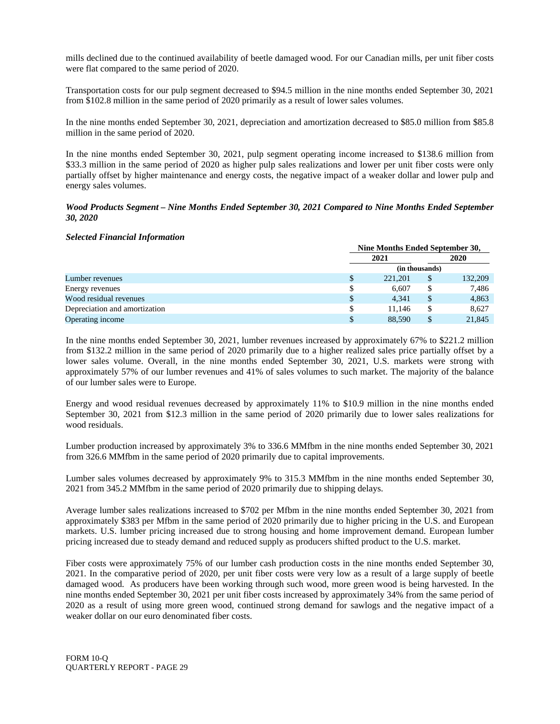mills declined due to the continued availability of beetle damaged wood. For our Canadian mills, per unit fiber costs were flat compared to the same period of 2020.

Transportation costs for our pulp segment decreased to \$94.5 million in the nine months ended September 30, 2021 from \$102.8 million in the same period of 2020 primarily as a result of lower sales volumes.

In the nine months ended September 30, 2021, depreciation and amortization decreased to \$85.0 million from \$85.8 million in the same period of 2020.

In the nine months ended September 30, 2021, pulp segment operating income increased to \$138.6 million from \$33.3 million in the same period of 2020 as higher pulp sales realizations and lower per unit fiber costs were only partially offset by higher maintenance and energy costs, the negative impact of a weaker dollar and lower pulp and energy sales volumes.

#### *Wood Products Segment – Nine Months Ended September 30, 2021 Compared to Nine Months Ended September 30, 2020*

#### *Selected Financial Information*

|                               |    | Nine Months Ended September 30, |                |         |  |  |  |
|-------------------------------|----|---------------------------------|----------------|---------|--|--|--|
|                               |    | 2021                            |                | 2020    |  |  |  |
|                               |    |                                 | (in thousands) |         |  |  |  |
| Lumber revenues               | \$ | 221.201                         | S              | 132,209 |  |  |  |
| Energy revenues               | S  | 6.607                           |                | 7,486   |  |  |  |
| Wood residual revenues        | \$ | 4,341                           |                | 4,863   |  |  |  |
| Depreciation and amortization | \$ | 11.146                          |                | 8.627   |  |  |  |
| Operating income              |    | 88,590                          |                | 21,845  |  |  |  |

In the nine months ended September 30, 2021, lumber revenues increased by approximately 67% to \$221.2 million from \$132.2 million in the same period of 2020 primarily due to a higher realized sales price partially offset by a lower sales volume. Overall, in the nine months ended September 30, 2021, U.S. markets were strong with approximately 57% of our lumber revenues and 41% of sales volumes to such market. The majority of the balance of our lumber sales were to Europe.

Energy and wood residual revenues decreased by approximately 11% to \$10.9 million in the nine months ended September 30, 2021 from \$12.3 million in the same period of 2020 primarily due to lower sales realizations for wood residuals.

Lumber production increased by approximately 3% to 336.6 MMfbm in the nine months ended September 30, 2021 from 326.6 MMfbm in the same period of 2020 primarily due to capital improvements.

Lumber sales volumes decreased by approximately 9% to 315.3 MMfbm in the nine months ended September 30, 2021 from 345.2 MMfbm in the same period of 2020 primarily due to shipping delays.

Average lumber sales realizations increased to \$702 per Mfbm in the nine months ended September 30, 2021 from approximately \$383 per Mfbm in the same period of 2020 primarily due to higher pricing in the U.S. and European markets. U.S. lumber pricing increased due to strong housing and home improvement demand. European lumber pricing increased due to steady demand and reduced supply as producers shifted product to the U.S. market.

Fiber costs were approximately 75% of our lumber cash production costs in the nine months ended September 30, 2021. In the comparative period of 2020, per unit fiber costs were very low as a result of a large supply of beetle damaged wood. As producers have been working through such wood, more green wood is being harvested. In the nine months ended September 30, 2021 per unit fiber costs increased by approximately 34% from the same period of 2020 as a result of using more green wood, continued strong demand for sawlogs and the negative impact of a weaker dollar on our euro denominated fiber costs.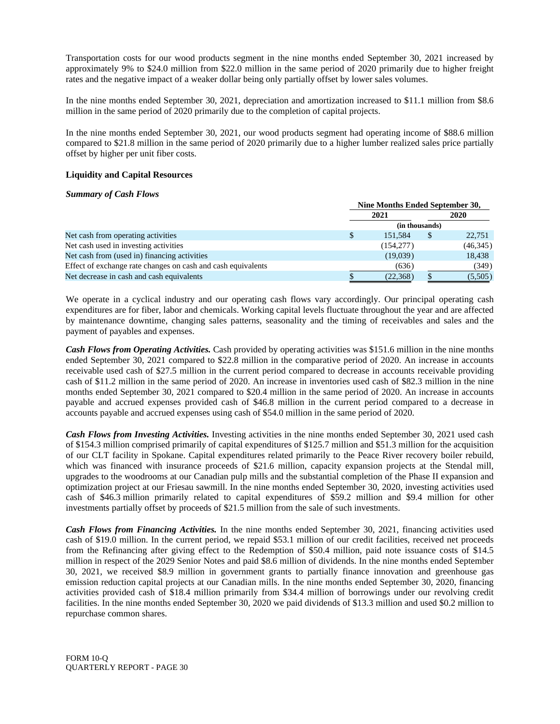Transportation costs for our wood products segment in the nine months ended September 30, 2021 increased by approximately 9% to \$24.0 million from \$22.0 million in the same period of 2020 primarily due to higher freight rates and the negative impact of a weaker dollar being only partially offset by lower sales volumes.

In the nine months ended September 30, 2021, depreciation and amortization increased to \$11.1 million from \$8.6 million in the same period of 2020 primarily due to the completion of capital projects.

In the nine months ended September 30, 2021, our wood products segment had operating income of \$88.6 million compared to \$21.8 million in the same period of 2020 primarily due to a higher lumber realized sales price partially offset by higher per unit fiber costs.

#### **Liquidity and Capital Resources**

#### *Summary of Cash Flows*

|                                                              |               | Nine Months Ended September 30, |     |           |  |
|--------------------------------------------------------------|---------------|---------------------------------|-----|-----------|--|
|                                                              |               | 2021                            |     | 2020      |  |
|                                                              |               | (in thousands)                  |     |           |  |
| Net cash from operating activities                           | <sup>\$</sup> | 151.584                         | \$. | 22,751    |  |
| Net cash used in investing activities                        |               | (154, 277)                      |     | (46, 345) |  |
| Net cash from (used in) financing activities                 |               | (19,039)                        |     | 18,438    |  |
| Effect of exchange rate changes on cash and cash equivalents |               | (636)                           |     | (349)     |  |
| Net decrease in cash and cash equivalents                    |               | (22, 368)                       |     | (5,505)   |  |

We operate in a cyclical industry and our operating cash flows vary accordingly. Our principal operating cash expenditures are for fiber, labor and chemicals. Working capital levels fluctuate throughout the year and are affected by maintenance downtime, changing sales patterns, seasonality and the timing of receivables and sales and the payment of payables and expenses.

*Cash Flows from Operating Activities.* Cash provided by operating activities was \$151.6 million in the nine months ended September 30, 2021 compared to \$22.8 million in the comparative period of 2020. An increase in accounts receivable used cash of \$27.5 million in the current period compared to decrease in accounts receivable providing cash of \$11.2 million in the same period of 2020. An increase in inventories used cash of \$82.3 million in the nine months ended September 30, 2021 compared to \$20.4 million in the same period of 2020. An increase in accounts payable and accrued expenses provided cash of \$46.8 million in the current period compared to a decrease in accounts payable and accrued expenses using cash of \$54.0 million in the same period of 2020.

*Cash Flows from Investing Activities.* Investing activities in the nine months ended September 30, 2021 used cash of \$154.3 million comprised primarily of capital expenditures of \$125.7 million and \$51.3 million for the acquisition of our CLT facility in Spokane. Capital expenditures related primarily to the Peace River recovery boiler rebuild, which was financed with insurance proceeds of \$21.6 million, capacity expansion projects at the Stendal mill, upgrades to the woodrooms at our Canadian pulp mills and the substantial completion of the Phase II expansion and optimization project at our Friesau sawmill. In the nine months ended September 30, 2020, investing activities used cash of \$46.3 million primarily related to capital expenditures of \$59.2 million and \$9.4 million for other investments partially offset by proceeds of \$21.5 million from the sale of such investments.

*Cash Flows from Financing Activities.* In the nine months ended September 30, 2021, financing activities used cash of \$19.0 million. In the current period, we repaid \$53.1 million of our credit facilities, received net proceeds from the Refinancing after giving effect to the Redemption of \$50.4 million, paid note issuance costs of \$14.5 million in respect of the 2029 Senior Notes and paid \$8.6 million of dividends. In the nine months ended September 30, 2021, we received \$8.9 million in government grants to partially finance innovation and greenhouse gas emission reduction capital projects at our Canadian mills. In the nine months ended September 30, 2020, financing activities provided cash of \$18.4 million primarily from \$34.4 million of borrowings under our revolving credit facilities. In the nine months ended September 30, 2020 we paid dividends of \$13.3 million and used \$0.2 million to repurchase common shares.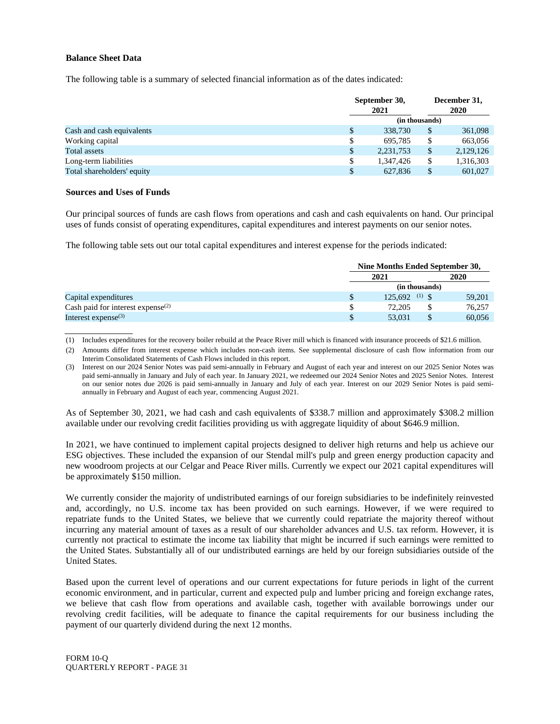#### **Balance Sheet Data**

The following table is a summary of selected financial information as of the dates indicated:

|                            | September 30,<br>2021 |                | December 31,<br>2020 |  |
|----------------------------|-----------------------|----------------|----------------------|--|
|                            |                       | (in thousands) |                      |  |
| Cash and cash equivalents  | \$<br>338,730         | \$             | 361,098              |  |
| Working capital            | \$<br>695.785         | S              | 663,056              |  |
| <b>Total assets</b>        | \$<br>2, 231, 753     | \$             | 2,129,126            |  |
| Long-term liabilities      | \$<br>1,347,426       | S              | 1,316,303            |  |
| Total shareholders' equity | \$<br>627.836         | S              | 601,027              |  |

#### **Sources and Uses of Funds**

Our principal sources of funds are cash flows from operations and cash and cash equivalents on hand. Our principal uses of funds consist of operating expenditures, capital expenditures and interest payments on our senior notes.

The following table sets out our total capital expenditures and interest expense for the periods indicated:

|                                               | Nine Months Ended September 30, |  |        |  |
|-----------------------------------------------|---------------------------------|--|--------|--|
|                                               | 2021                            |  | 2020   |  |
|                                               | (in thousands)                  |  |        |  |
| Capital expenditures                          | $125.692$ <sup>(1)</sup> \$     |  | 59,201 |  |
| Cash paid for interest expense <sup>(2)</sup> | 72,205                          |  | 76,257 |  |
| Interest expense $(3)$                        | 53,031                          |  | 60,056 |  |

(1) Includes expenditures for the recovery boiler rebuild at the Peace River mill which is financed with insurance proceeds of \$21.6 million.

(2) Amounts differ from interest expense which includes non-cash items. See supplemental disclosure of cash flow information from our Interim Consolidated Statements of Cash Flows included in this report.

(3) Interest on our 2024 Senior Notes was paid semi-annually in February and August of each year and interest on our 2025 Senior Notes was paid semi-annually in January and July of each year. In January 2021, we redeemed our 2024 Senior Notes and 2025 Senior Notes. Interest on our senior notes due 2026 is paid semi-annually in January and July of each year. Interest on our 2029 Senior Notes is paid semiannually in February and August of each year, commencing August 2021.

As of September 30, 2021, we had cash and cash equivalents of \$338.7 million and approximately \$308.2 million available under our revolving credit facilities providing us with aggregate liquidity of about \$646.9 million.

In 2021, we have continued to implement capital projects designed to deliver high returns and help us achieve our ESG objectives. These included the expansion of our Stendal mill's pulp and green energy production capacity and new woodroom projects at our Celgar and Peace River mills. Currently we expect our 2021 capital expenditures will be approximately \$150 million.

We currently consider the majority of undistributed earnings of our foreign subsidiaries to be indefinitely reinvested and, accordingly, no U.S. income tax has been provided on such earnings. However, if we were required to repatriate funds to the United States, we believe that we currently could repatriate the majority thereof without incurring any material amount of taxes as a result of our shareholder advances and U.S. tax reform. However, it is currently not practical to estimate the income tax liability that might be incurred if such earnings were remitted to the United States. Substantially all of our undistributed earnings are held by our foreign subsidiaries outside of the United States.

Based upon the current level of operations and our current expectations for future periods in light of the current economic environment, and in particular, current and expected pulp and lumber pricing and foreign exchange rates, we believe that cash flow from operations and available cash, together with available borrowings under our revolving credit facilities, will be adequate to finance the capital requirements for our business including the payment of our quarterly dividend during the next 12 months.

FORM 10-Q QUARTERLY REPORT - PAGE 31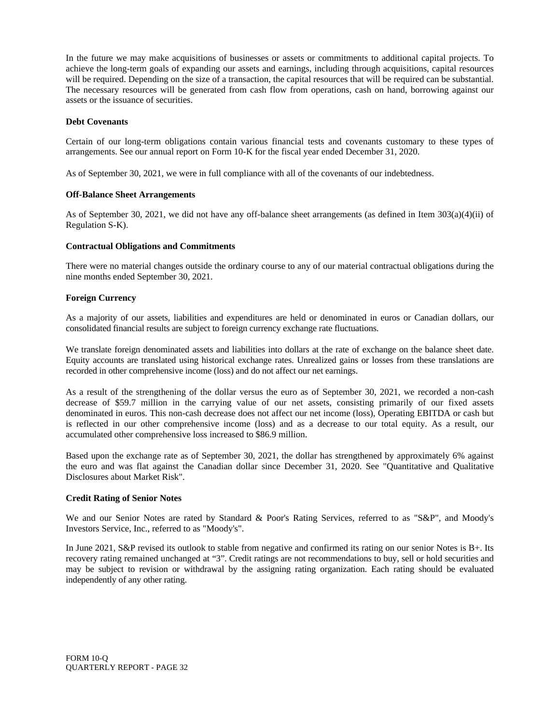In the future we may make acquisitions of businesses or assets or commitments to additional capital projects. To achieve the long-term goals of expanding our assets and earnings, including through acquisitions, capital resources will be required. Depending on the size of a transaction, the capital resources that will be required can be substantial. The necessary resources will be generated from cash flow from operations, cash on hand, borrowing against our assets or the issuance of securities.

#### **Debt Covenants**

Certain of our long-term obligations contain various financial tests and covenants customary to these types of arrangements. See our annual report on Form 10-K for the fiscal year ended December 31, 2020.

As of September 30, 2021, we were in full compliance with all of the covenants of our indebtedness.

#### **Off-Balance Sheet Arrangements**

As of September 30, 2021, we did not have any off-balance sheet arrangements (as defined in Item 303(a)(4)(ii) of Regulation S-K).

#### **Contractual Obligations and Commitments**

There were no material changes outside the ordinary course to any of our material contractual obligations during the nine months ended September 30, 2021.

#### **Foreign Currency**

As a majority of our assets, liabilities and expenditures are held or denominated in euros or Canadian dollars, our consolidated financial results are subject to foreign currency exchange rate fluctuations.

We translate foreign denominated assets and liabilities into dollars at the rate of exchange on the balance sheet date. Equity accounts are translated using historical exchange rates. Unrealized gains or losses from these translations are recorded in other comprehensive income (loss) and do not affect our net earnings.

As a result of the strengthening of the dollar versus the euro as of September 30, 2021, we recorded a non-cash decrease of \$59.7 million in the carrying value of our net assets, consisting primarily of our fixed assets denominated in euros. This non-cash decrease does not affect our net income (loss), Operating EBITDA or cash but is reflected in our other comprehensive income (loss) and as a decrease to our total equity. As a result, our accumulated other comprehensive loss increased to \$86.9 million.

Based upon the exchange rate as of September 30, 2021, the dollar has strengthened by approximately 6% against the euro and was flat against the Canadian dollar since December 31, 2020. See "Quantitative and Qualitative Disclosures about Market Risk".

#### **Credit Rating of Senior Notes**

We and our Senior Notes are rated by Standard & Poor's Rating Services, referred to as "S&P", and Moody's Investors Service, Inc., referred to as "Moody's".

In June 2021, S&P revised its outlook to stable from negative and confirmed its rating on our senior Notes is B+. Its recovery rating remained unchanged at "3". Credit ratings are not recommendations to buy, sell or hold securities and may be subject to revision or withdrawal by the assigning rating organization. Each rating should be evaluated independently of any other rating.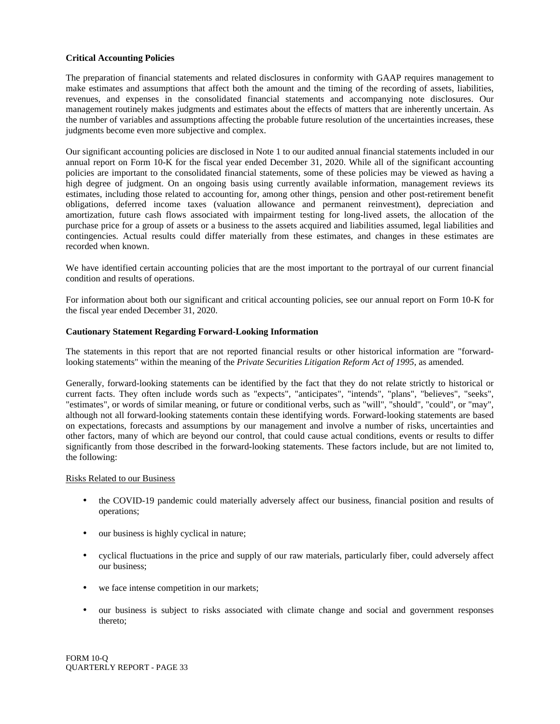#### **Critical Accounting Policies**

The preparation of financial statements and related disclosures in conformity with GAAP requires management to make estimates and assumptions that affect both the amount and the timing of the recording of assets, liabilities, revenues, and expenses in the consolidated financial statements and accompanying note disclosures. Our management routinely makes judgments and estimates about the effects of matters that are inherently uncertain. As the number of variables and assumptions affecting the probable future resolution of the uncertainties increases, these judgments become even more subjective and complex.

Our significant accounting policies are disclosed in Note 1 to our audited annual financial statements included in our annual report on Form 10-K for the fiscal year ended December 31, 2020. While all of the significant accounting policies are important to the consolidated financial statements, some of these policies may be viewed as having a high degree of judgment. On an ongoing basis using currently available information, management reviews its estimates, including those related to accounting for, among other things, pension and other post-retirement benefit obligations, deferred income taxes (valuation allowance and permanent reinvestment), depreciation and amortization, future cash flows associated with impairment testing for long-lived assets, the allocation of the purchase price for a group of assets or a business to the assets acquired and liabilities assumed, legal liabilities and contingencies. Actual results could differ materially from these estimates, and changes in these estimates are recorded when known.

We have identified certain accounting policies that are the most important to the portrayal of our current financial condition and results of operations.

For information about both our significant and critical accounting policies, see our annual report on Form 10-K for the fiscal year ended December 31, 2020.

#### **Cautionary Statement Regarding Forward-Looking Information**

The statements in this report that are not reported financial results or other historical information are "forwardlooking statements" within the meaning of the *Private Securities Litigation Reform Act of 1995*, as amended.

Generally, forward-looking statements can be identified by the fact that they do not relate strictly to historical or current facts. They often include words such as "expects", "anticipates", "intends", "plans", "believes", "seeks", "estimates", or words of similar meaning, or future or conditional verbs, such as "will", "should", "could", or "may", although not all forward-looking statements contain these identifying words. Forward-looking statements are based on expectations, forecasts and assumptions by our management and involve a number of risks, uncertainties and other factors, many of which are beyond our control, that could cause actual conditions, events or results to differ significantly from those described in the forward-looking statements. These factors include, but are not limited to, the following:

#### Risks Related to our Business

- the COVID-19 pandemic could materially adversely affect our business, financial position and results of operations;
- our business is highly cyclical in nature;
- cyclical fluctuations in the price and supply of our raw materials, particularly fiber, could adversely affect our business;
- we face intense competition in our markets;
- our business is subject to risks associated with climate change and social and government responses thereto;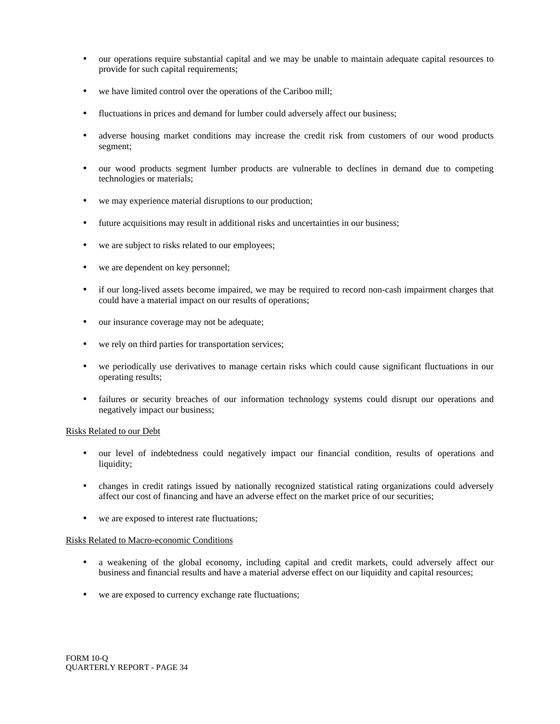- our operations require substantial capital and we may be unable to maintain adequate capital resources to provide for such capital requirements;
- we have limited control over the operations of the Cariboo mill;
- fluctuations in prices and demand for lumber could adversely affect our business;
- adverse housing market conditions may increase the credit risk from customers of our wood products segment;
- our wood products segment lumber products are vulnerable to declines in demand due to competing technologies or materials;
- we may experience material disruptions to our production;
- future acquisitions may result in additional risks and uncertainties in our business;
- we are subject to risks related to our employees;
- we are dependent on key personnel;
- if our long-lived assets become impaired, we may be required to record non-cash impairment charges that could have a material impact on our results of operations;
- our insurance coverage may not be adequate;
- we rely on third parties for transportation services;
- we periodically use derivatives to manage certain risks which could cause significant fluctuations in our operating results;
- failures or security breaches of our information technology systems could disrupt our operations and negatively impact our business;

#### Risks Related to our Debt

- our level of indebtedness could negatively impact our financial condition, results of operations and liquidity;
- changes in credit ratings issued by nationally recognized statistical rating organizations could adversely affect our cost of financing and have an adverse effect on the market price of our securities;
- we are exposed to interest rate fluctuations;

#### Risks Related to Macro-economic Conditions

- a weakening of the global economy, including capital and credit markets, could adversely affect our business and financial results and have a material adverse effect on our liquidity and capital resources;
- we are exposed to currency exchange rate fluctuations;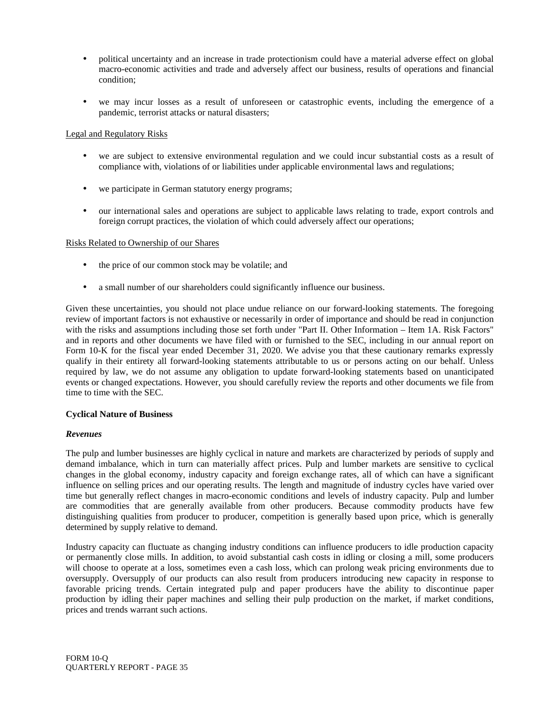- political uncertainty and an increase in trade protectionism could have a material adverse effect on global macro-economic activities and trade and adversely affect our business, results of operations and financial condition;
- we may incur losses as a result of unforeseen or catastrophic events, including the emergence of a pandemic, terrorist attacks or natural disasters;

#### Legal and Regulatory Risks

- we are subject to extensive environmental regulation and we could incur substantial costs as a result of compliance with, violations of or liabilities under applicable environmental laws and regulations;
- we participate in German statutory energy programs;
- our international sales and operations are subject to applicable laws relating to trade, export controls and foreign corrupt practices, the violation of which could adversely affect our operations;

#### Risks Related to Ownership of our Shares

- the price of our common stock may be volatile; and
- a small number of our shareholders could significantly influence our business.

Given these uncertainties, you should not place undue reliance on our forward-looking statements. The foregoing review of important factors is not exhaustive or necessarily in order of importance and should be read in conjunction with the risks and assumptions including those set forth under "Part II. Other Information – Item 1A. Risk Factors" and in reports and other documents we have filed with or furnished to the SEC, including in our annual report on Form 10-K for the fiscal year ended December 31, 2020. We advise you that these cautionary remarks expressly qualify in their entirety all forward-looking statements attributable to us or persons acting on our behalf. Unless required by law, we do not assume any obligation to update forward-looking statements based on unanticipated events or changed expectations. However, you should carefully review the reports and other documents we file from time to time with the SEC.

#### **Cyclical Nature of Business**

#### *Revenues*

The pulp and lumber businesses are highly cyclical in nature and markets are characterized by periods of supply and demand imbalance, which in turn can materially affect prices. Pulp and lumber markets are sensitive to cyclical changes in the global economy, industry capacity and foreign exchange rates, all of which can have a significant influence on selling prices and our operating results. The length and magnitude of industry cycles have varied over time but generally reflect changes in macro-economic conditions and levels of industry capacity. Pulp and lumber are commodities that are generally available from other producers. Because commodity products have few distinguishing qualities from producer to producer, competition is generally based upon price, which is generally determined by supply relative to demand.

Industry capacity can fluctuate as changing industry conditions can influence producers to idle production capacity or permanently close mills. In addition, to avoid substantial cash costs in idling or closing a mill, some producers will choose to operate at a loss, sometimes even a cash loss, which can prolong weak pricing environments due to oversupply. Oversupply of our products can also result from producers introducing new capacity in response to favorable pricing trends. Certain integrated pulp and paper producers have the ability to discontinue paper production by idling their paper machines and selling their pulp production on the market, if market conditions, prices and trends warrant such actions.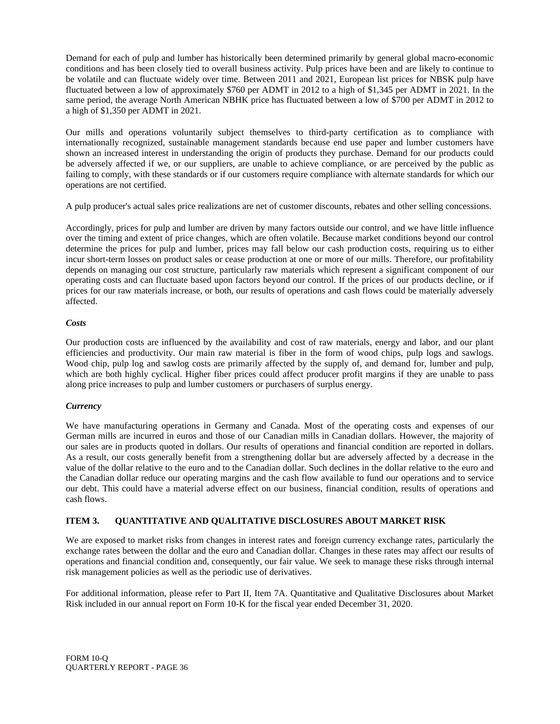Demand for each of pulp and lumber has historically been determined primarily by general global macro-economic conditions and has been closely tied to overall business activity. Pulp prices have been and are likely to continue to be volatile and can fluctuate widely over time. Between 2011 and 2021, European list prices for NBSK pulp have fluctuated between a low of approximately \$760 per ADMT in 2012 to a high of \$1,345 per ADMT in 2021. In the same period, the average North American NBHK price has fluctuated between a low of \$700 per ADMT in 2012 to a high of \$1,350 per ADMT in 2021.

Our mills and operations voluntarily subject themselves to third-party certification as to compliance with internationally recognized, sustainable management standards because end use paper and lumber customers have shown an increased interest in understanding the origin of products they purchase. Demand for our products could be adversely affected if we, or our suppliers, are unable to achieve compliance, or are perceived by the public as failing to comply, with these standards or if our customers require compliance with alternate standards for which our operations are not certified.

A pulp producer's actual sales price realizations are net of customer discounts, rebates and other selling concessions.

Accordingly, prices for pulp and lumber are driven by many factors outside our control, and we have little influence over the timing and extent of price changes, which are often volatile. Because market conditions beyond our control determine the prices for pulp and lumber, prices may fall below our cash production costs, requiring us to either incur short-term losses on product sales or cease production at one or more of our mills. Therefore, our profitability depends on managing our cost structure, particularly raw materials which represent a significant component of our operating costs and can fluctuate based upon factors beyond our control. If the prices of our products decline, or if prices for our raw materials increase, or both, our results of operations and cash flows could be materially adversely affected.

#### *Costs*

Our production costs are influenced by the availability and cost of raw materials, energy and labor, and our plant efficiencies and productivity. Our main raw material is fiber in the form of wood chips, pulp logs and sawlogs. Wood chip, pulp log and sawlog costs are primarily affected by the supply of, and demand for, lumber and pulp, which are both highly cyclical. Higher fiber prices could affect producer profit margins if they are unable to pass along price increases to pulp and lumber customers or purchasers of surplus energy.

#### *Currency*

We have manufacturing operations in Germany and Canada. Most of the operating costs and expenses of our German mills are incurred in euros and those of our Canadian mills in Canadian dollars. However, the majority of our sales are in products quoted in dollars. Our results of operations and financial condition are reported in dollars. As a result, our costs generally benefit from a strengthening dollar but are adversely affected by a decrease in the value of the dollar relative to the euro and to the Canadian dollar. Such declines in the dollar relative to the euro and the Canadian dollar reduce our operating margins and the cash flow available to fund our operations and to service our debt. This could have a material adverse effect on our business, financial condition, results of operations and cash flows.

#### **ITEM 3. QUANTITATIVE AND QUALITATIVE DISCLOSURES ABOUT MARKET RISK**

We are exposed to market risks from changes in interest rates and foreign currency exchange rates, particularly the exchange rates between the dollar and the euro and Canadian dollar. Changes in these rates may affect our results of operations and financial condition and, consequently, our fair value. We seek to manage these risks through internal risk management policies as well as the periodic use of derivatives.

For additional information, please refer to Part II, Item 7A. Quantitative and Qualitative Disclosures about Market Risk included in our annual report on Form 10-K for the fiscal year ended December 31, 2020.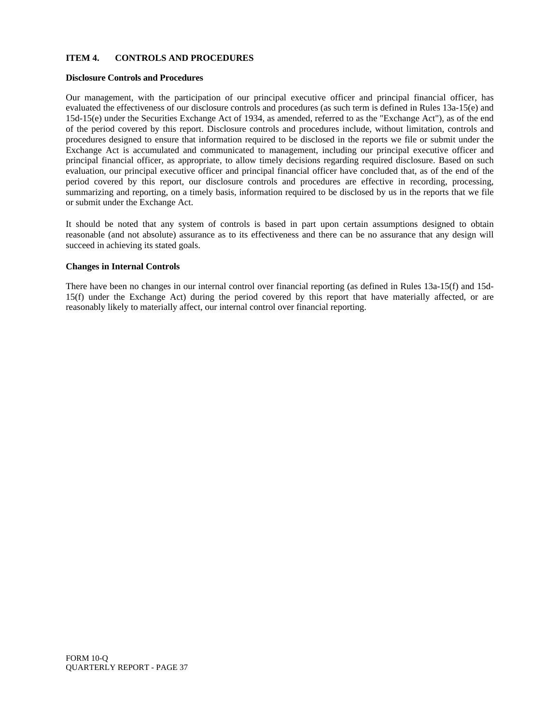#### **ITEM 4. CONTROLS AND PROCEDURES**

#### **Disclosure Controls and Procedures**

Our management, with the participation of our principal executive officer and principal financial officer, has evaluated the effectiveness of our disclosure controls and procedures (as such term is defined in Rules 13a-15(e) and 15d-15(e) under the Securities Exchange Act of 1934, as amended, referred to as the "Exchange Act"), as of the end of the period covered by this report. Disclosure controls and procedures include, without limitation, controls and procedures designed to ensure that information required to be disclosed in the reports we file or submit under the Exchange Act is accumulated and communicated to management, including our principal executive officer and principal financial officer, as appropriate, to allow timely decisions regarding required disclosure. Based on such evaluation, our principal executive officer and principal financial officer have concluded that, as of the end of the period covered by this report, our disclosure controls and procedures are effective in recording, processing, summarizing and reporting, on a timely basis, information required to be disclosed by us in the reports that we file or submit under the Exchange Act.

It should be noted that any system of controls is based in part upon certain assumptions designed to obtain reasonable (and not absolute) assurance as to its effectiveness and there can be no assurance that any design will succeed in achieving its stated goals.

#### **Changes in Internal Controls**

There have been no changes in our internal control over financial reporting (as defined in Rules 13a-15(f) and 15d-15(f) under the Exchange Act) during the period covered by this report that have materially affected, or are reasonably likely to materially affect, our internal control over financial reporting.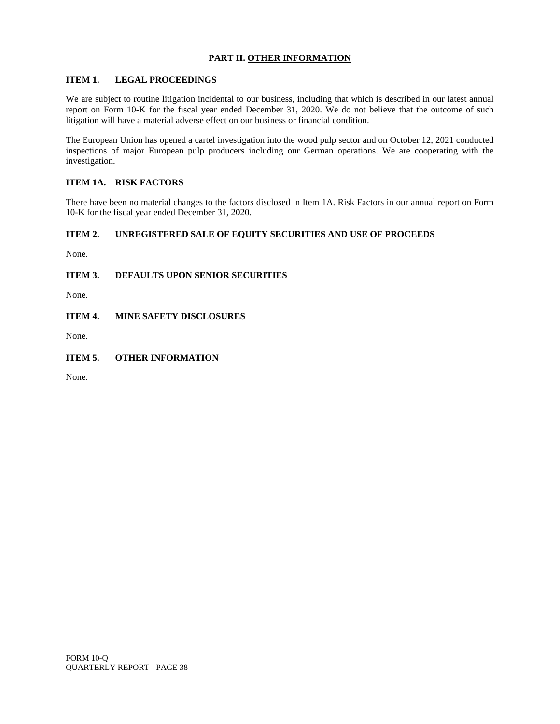#### **PART II. OTHER INFORMATION**

#### **ITEM 1. LEGAL PROCEEDINGS**

We are subject to routine litigation incidental to our business, including that which is described in our latest annual report on Form 10-K for the fiscal year ended December 31, 2020. We do not believe that the outcome of such litigation will have a material adverse effect on our business or financial condition.

The European Union has opened a cartel investigation into the wood pulp sector and on October 12, 2021 conducted inspections of major European pulp producers including our German operations. We are cooperating with the investigation.

#### **ITEM 1A. RISK FACTORS**

There have been no material changes to the factors disclosed in Item 1A. Risk Factors in our annual report on Form 10-K for the fiscal year ended December 31, 2020.

#### **ITEM 2. UNREGISTERED SALE OF EQUITY SECURITIES AND USE OF PROCEEDS**

None.

**ITEM 3. DEFAULTS UPON SENIOR SECURITIES**

None.

**ITEM 4. MINE SAFETY DISCLOSURES**

None.

#### **ITEM 5. OTHER INFORMATION**

None.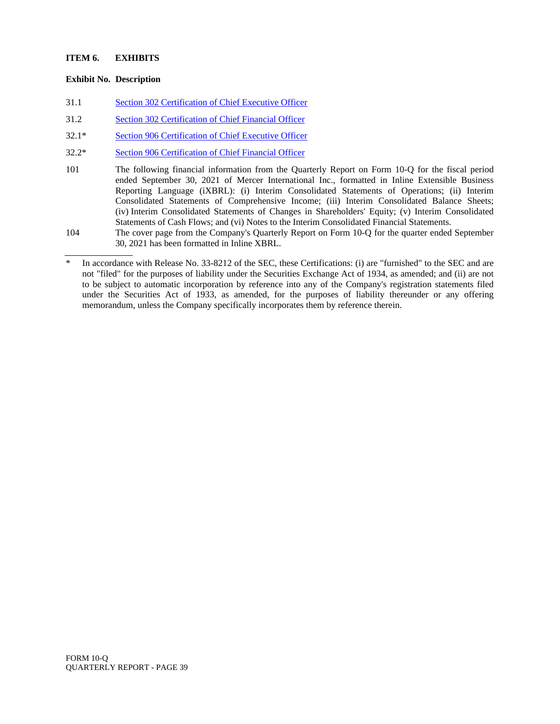#### **ITEM 6. EXHIBITS**

#### **Exhibit No. Description**

- 31.1 [Section 302 Certification of Chief Executive Officer](merc-ex311_7.htm)
- 31.2 [Section 302 Certification of Chief Financial Officer](merc-ex312_6.htm)
- 32.1\* [Section 906 Certification of Chief Executive Officer](merc-ex321_9.htm)
- 32.2\* [Section 906 Certification of Chief Financial Officer](merc-ex322_8.htm)
- 101 The following financial information from the Quarterly Report on Form 10-Q for the fiscal period ended September 30, 2021 of Mercer International Inc., formatted in Inline Extensible Business Reporting Language (iXBRL): (i) Interim Consolidated Statements of Operations; (ii) Interim Consolidated Statements of Comprehensive Income; (iii) Interim Consolidated Balance Sheets; (iv) Interim Consolidated Statements of Changes in Shareholders' Equity; (v) Interim Consolidated Statements of Cash Flows; and (vi) Notes to the Interim Consolidated Financial Statements.
- 104 The cover page from the Company's Quarterly Report on Form 10-Q for the quarter ended September 30, 2021 has been formatted in Inline XBRL.

In accordance with Release No. 33-8212 of the SEC, these Certifications: (i) are "furnished" to the SEC and are not "filed" for the purposes of liability under the Securities Exchange Act of 1934, as amended; and (ii) are not to be subject to automatic incorporation by reference into any of the Company's registration statements filed under the Securities Act of 1933, as amended, for the purposes of liability thereunder or any offering memorandum, unless the Company specifically incorporates them by reference therein.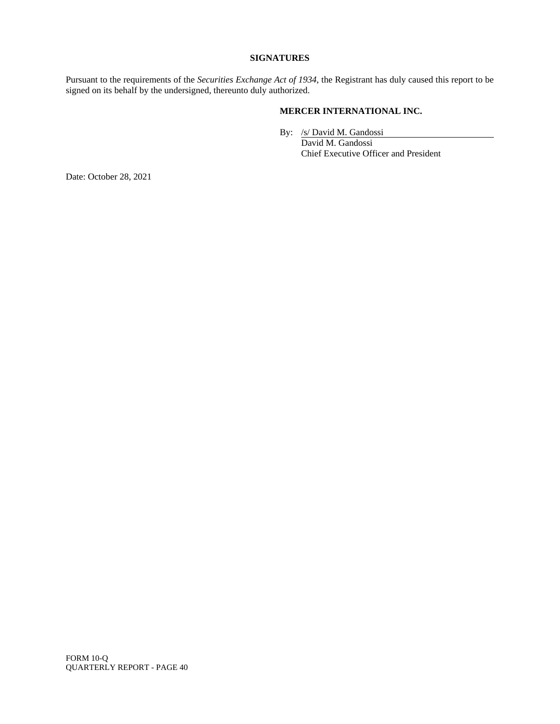#### **SIGNATURES**

Pursuant to the requirements of the *Securities Exchange Act of 1934*, the Registrant has duly caused this report to be signed on its behalf by the undersigned, thereunto duly authorized.

#### **MERCER INTERNATIONAL INC.**

By: /s/ David M. Gandossi

David M. Gandossi Chief Executive Officer and President

Date: October 28, 2021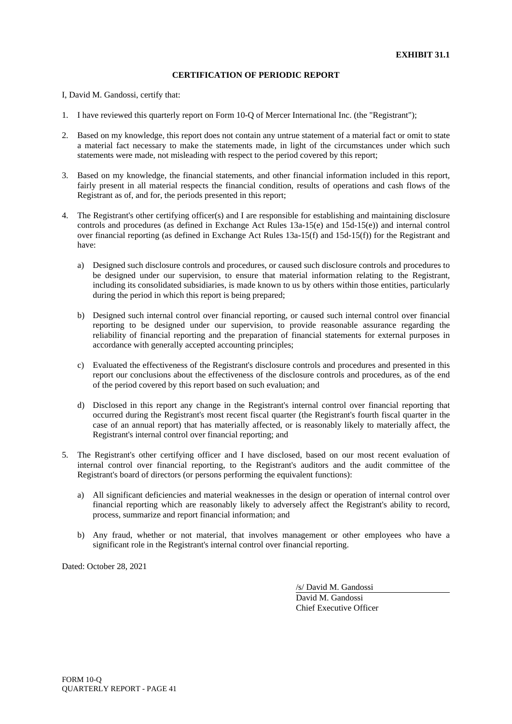I, David M. Gandossi, certify that:

- 1. I have reviewed this quarterly report on Form 10-Q of Mercer International Inc. (the "Registrant");
- 2. Based on my knowledge, this report does not contain any untrue statement of a material fact or omit to state a material fact necessary to make the statements made, in light of the circumstances under which such statements were made, not misleading with respect to the period covered by this report;
- 3. Based on my knowledge, the financial statements, and other financial information included in this report, fairly present in all material respects the financial condition, results of operations and cash flows of the Registrant as of, and for, the periods presented in this report;
- 4. The Registrant's other certifying officer(s) and I are responsible for establishing and maintaining disclosure controls and procedures (as defined in Exchange Act Rules 13a-15(e) and 15d-15(e)) and internal control over financial reporting (as defined in Exchange Act Rules 13a-15(f) and 15d-15(f)) for the Registrant and have:
	- a) Designed such disclosure controls and procedures, or caused such disclosure controls and procedures to be designed under our supervision, to ensure that material information relating to the Registrant, including its consolidated subsidiaries, is made known to us by others within those entities, particularly during the period in which this report is being prepared;
	- b) Designed such internal control over financial reporting, or caused such internal control over financial reporting to be designed under our supervision, to provide reasonable assurance regarding the reliability of financial reporting and the preparation of financial statements for external purposes in accordance with generally accepted accounting principles;
	- c) Evaluated the effectiveness of the Registrant's disclosure controls and procedures and presented in this report our conclusions about the effectiveness of the disclosure controls and procedures, as of the end of the period covered by this report based on such evaluation; and
	- d) Disclosed in this report any change in the Registrant's internal control over financial reporting that occurred during the Registrant's most recent fiscal quarter (the Registrant's fourth fiscal quarter in the case of an annual report) that has materially affected, or is reasonably likely to materially affect, the Registrant's internal control over financial reporting; and
- 5. The Registrant's other certifying officer and I have disclosed, based on our most recent evaluation of internal control over financial reporting, to the Registrant's auditors and the audit committee of the Registrant's board of directors (or persons performing the equivalent functions):
	- a) All significant deficiencies and material weaknesses in the design or operation of internal control over financial reporting which are reasonably likely to adversely affect the Registrant's ability to record, process, summarize and report financial information; and
	- b) Any fraud, whether or not material, that involves management or other employees who have a significant role in the Registrant's internal control over financial reporting.

Dated: October 28, 2021

/s/ David M. Gandossi

David M. Gandossi Chief Executive Officer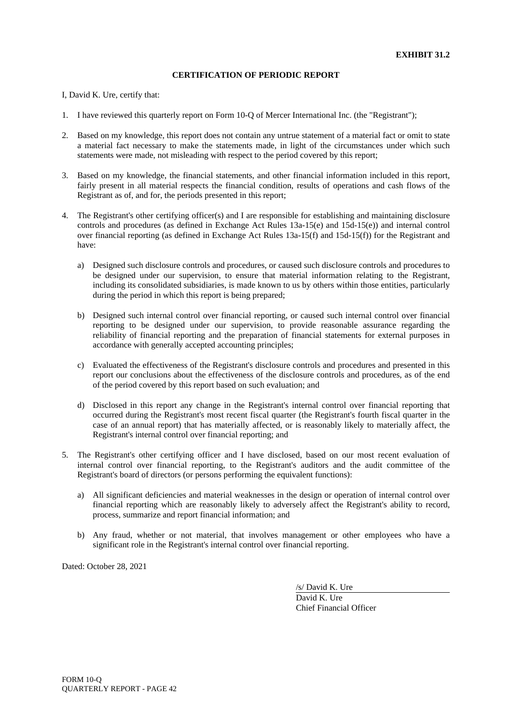I, David K. Ure, certify that:

- 1. I have reviewed this quarterly report on Form 10-Q of Mercer International Inc. (the "Registrant");
- 2. Based on my knowledge, this report does not contain any untrue statement of a material fact or omit to state a material fact necessary to make the statements made, in light of the circumstances under which such statements were made, not misleading with respect to the period covered by this report;
- 3. Based on my knowledge, the financial statements, and other financial information included in this report, fairly present in all material respects the financial condition, results of operations and cash flows of the Registrant as of, and for, the periods presented in this report;
- 4. The Registrant's other certifying officer(s) and I are responsible for establishing and maintaining disclosure controls and procedures (as defined in Exchange Act Rules 13a-15(e) and 15d-15(e)) and internal control over financial reporting (as defined in Exchange Act Rules 13a-15(f) and 15d-15(f)) for the Registrant and have:
	- a) Designed such disclosure controls and procedures, or caused such disclosure controls and procedures to be designed under our supervision, to ensure that material information relating to the Registrant, including its consolidated subsidiaries, is made known to us by others within those entities, particularly during the period in which this report is being prepared;
	- b) Designed such internal control over financial reporting, or caused such internal control over financial reporting to be designed under our supervision, to provide reasonable assurance regarding the reliability of financial reporting and the preparation of financial statements for external purposes in accordance with generally accepted accounting principles;
	- c) Evaluated the effectiveness of the Registrant's disclosure controls and procedures and presented in this report our conclusions about the effectiveness of the disclosure controls and procedures, as of the end of the period covered by this report based on such evaluation; and
	- d) Disclosed in this report any change in the Registrant's internal control over financial reporting that occurred during the Registrant's most recent fiscal quarter (the Registrant's fourth fiscal quarter in the case of an annual report) that has materially affected, or is reasonably likely to materially affect, the Registrant's internal control over financial reporting; and
- 5. The Registrant's other certifying officer and I have disclosed, based on our most recent evaluation of internal control over financial reporting, to the Registrant's auditors and the audit committee of the Registrant's board of directors (or persons performing the equivalent functions):
	- a) All significant deficiencies and material weaknesses in the design or operation of internal control over financial reporting which are reasonably likely to adversely affect the Registrant's ability to record, process, summarize and report financial information; and
	- b) Any fraud, whether or not material, that involves management or other employees who have a significant role in the Registrant's internal control over financial reporting.

Dated: October 28, 2021

/s/ David K. Ure

David K. Ure Chief Financial Officer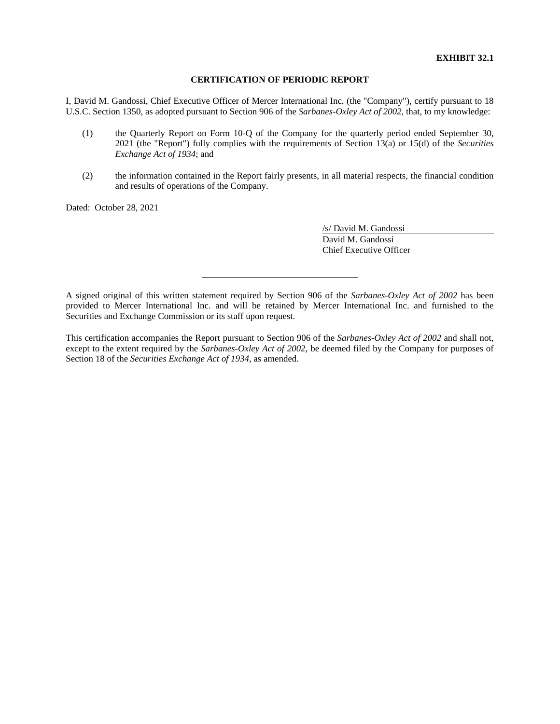I, David M. Gandossi, Chief Executive Officer of Mercer International Inc. (the "Company"), certify pursuant to 18 U.S.C. Section 1350, as adopted pursuant to Section 906 of the *Sarbanes-Oxley Act of 2002*, that, to my knowledge:

- (1) the Quarterly Report on Form 10-Q of the Company for the quarterly period ended September 30, 2021 (the "Report") fully complies with the requirements of Section 13(a) or 15(d) of the *Securities Exchange Act of 1934*; and
- (2) the information contained in the Report fairly presents, in all material respects, the financial condition and results of operations of the Company.

Dated: October 28, 2021

/s/ David M. Gandossi David M. Gandossi Chief Executive Officer

A signed original of this written statement required by Section 906 of the *Sarbanes-Oxley Act of 2002* has been provided to Mercer International Inc. and will be retained by Mercer International Inc. and furnished to the Securities and Exchange Commission or its staff upon request.

This certification accompanies the Report pursuant to Section 906 of the *Sarbanes-Oxley Act of 2002* and shall not, except to the extent required by the *Sarbanes-Oxley Act of 2002*, be deemed filed by the Company for purposes of Section 18 of the *Securities Exchange Act of 1934*, as amended.